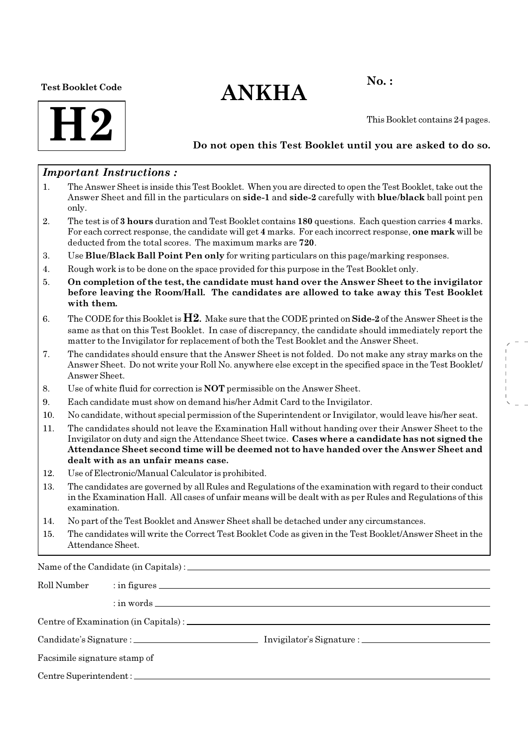### Test Booklet Code

# $ANKHA$ <sup>No.:</sup>



This Booklet contains 24 pages.

### Do not open this Test Booklet until you are asked to do so.

### Important Instructions :

- 1. The Answer Sheet is inside this Test Booklet. When you are directed to open the Test Booklet, take out the Answer Sheet and fill in the particulars on side-1 and side-2 carefully with blue/black ball point pen only.
- 2. The test is of 3 hours duration and Test Booklet contains 180 questions. Each question carries 4 marks. For each correct response, the candidate will get 4 marks. For each incorrect response, one mark will be deducted from the total scores. The maximum marks are 720.
- 3. Use Blue/Black Ball Point Pen only for writing particulars on this page/marking responses.
- 4. Rough work is to be done on the space provided for this purpose in the Test Booklet only.
- 5. On completion of the test, the candidate must hand over the Answer Sheet to the invigilator before leaving the Room/Hall. The candidates are allowed to take away this Test Booklet with them.
- 6. The CODE for this Booklet is  $H2$ . Make sure that the CODE printed on **Side-2** of the Answer Sheet is the same as that on this Test Booklet. In case of discrepancy, the candidate should immediately report the matter to the Invigilator for replacement of both the Test Booklet and the Answer Sheet.
- 7. The candidates should ensure that the Answer Sheet is not folded. Do not make any stray marks on the Answer Sheet. Do not write your Roll No. anywhere else except in the specified space in the Test Booklet/ Answer Sheet.
- 8. Use of white fluid for correction is NOT permissible on the Answer Sheet.
- 9. Each candidate must show on demand his/her Admit Card to the Invigilator.
- 10. No candidate, without special permission of the Superintendent or Invigilator, would leave his/her seat.
- 11. The candidates should not leave the Examination Hall without handing over their Answer Sheet to the Invigilator on duty and sign the Attendance Sheet twice. Cases where a candidate has not signed the Attendance Sheet second time will be deemed not to have handed over the Answer Sheet and dealt with as an unfair means case.
- 12. Use of Electronic/Manual Calculator is prohibited.
- 13. The candidates are governed by all Rules and Regulations of the examination with regard to their conduct in the Examination Hall. All cases of unfair means will be dealt with as per Rules and Regulations of this examination.
- 14. No part of the Test Booklet and Answer Sheet shall be detached under any circumstances.
- 15. The candidates will write the Correct Test Booklet Code as given in the Test Booklet/Answer Sheet in the Attendance Sheet.

Name of the Candidate (in Capitals) :

| Roll Number                  |  |  |
|------------------------------|--|--|
|                              |  |  |
|                              |  |  |
|                              |  |  |
| Facsimile signature stamp of |  |  |
|                              |  |  |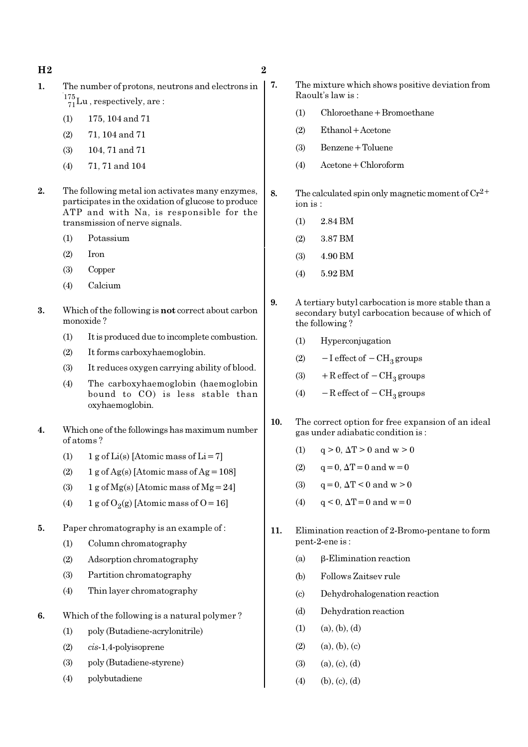- H<sub>2</sub> and  $\overline{2}$  2
- 1. The number of protons, neutrons and electrons in  $^{175}_{71}$ Lu, respectively, are:
	- (1) 175, 104 and 71
	- (2) 71, 104 and 71
	- (3) 104, 71 and 71
	- (4) 71, 71 and 104
- 2. The following metal ion activates many enzymes. participates in the oxidation of glucose to produce ATP and with Na, is responsible for the transmission of nerve signals.
	- (1) Potassium
	- (2) Iron
	- (3) Copper
	- (4) Calcium
- 3. Which of the following is not correct about carbon monoxide ?
	- (1) It is produced due to incomplete combustion.
	- (2) It forms carboxyhaemoglobin.
	- (3) It reduces oxygen carrying ability of blood.
	- (4) The carboxyhaemoglobin (haemoglobin bound to CO) is less stable than oxyhaemoglobin.
- 4. Which one of the followings has maximum number of atoms ?
	- (1)  $1 \text{ g of Li(s)}$  [Atomic mass of Li = 7]
	- (2) 1 g of Ag(s) [Atomic mass of Ag =  $108$ ]
	- (3) 1 g of  $Mg(s)$  [Atomic mass of  $Mg = 24$ ]
	- (4) 1 g of  $O_2(g)$  [Atomic mass of O = 16]
- 5. Paper chromatography is an example of :
	- (1) Column chromatography
	- (2) Adsorption chromatography
	- (3) Partition chromatography
	- (4) Thin layer chromatography
- 6. Which of the following is a natural polymer ?
	- (1) poly (Butadiene-acrylonitrile)
	- (2) cis-1,4-polyisoprene
	- (3) poly (Butadiene-styrene)
	- (4) polybutadiene
- 7. The mixture which shows positive deviation from Raoult's law is  $\cdot$ 
	- (1) Chloroethane+Bromoethane
	- (2) Ethanol+Acetone
	- (3) Benzene+Toluene
	- (4) Acetone+Chloroform
- 8. The calculated spin only magnetic moment of  $Cr^{2+}$ ion is :
	- (1) 2.84 BM
	- (2) 3.87 BM
	- (3) 4.90 BM
	- (4) 5.92 BM
- 9. A tertiary butyl carbocation is more stable than a secondary butyl carbocation because of which of the following ?
	- (1) Hyperconjugation
	- (2)  $-I$  effect of  $-CH_3$  groups
	- (3) + R effect of  $-CH_3$  groups
	- (4)  $-$ R effect of  $-$ CH<sub>3</sub> groups
- 10. The correct option for free expansion of an ideal gas under adiabatic condition is :
	- (1)  $q > 0$ ,  $\Delta T > 0$  and  $w > 0$
	- (2)  $q=0$ ,  $\Delta T=0$  and  $w=0$
	- (3)  $q = 0$ ,  $\Delta T < 0$  and  $w > 0$
	- (4)  $q < 0$ ,  $\Delta T = 0$  and  $w = 0$
- 11. Elimination reaction of 2-Bromo-pentane to form pent-2-ene is :
	- (a) β-Elimination reaction
	- (b) Follows Zaitsev rule
	- (c) Dehydrohalogenation reaction
	- (d) Dehydration reaction
	- $(1)$   $(a), (b), (d)$
	- $(2)$   $(a), (b), (c)$
	- $(3)$   $(a), (c), (d)$
	- $(4)$  (b), (c), (d)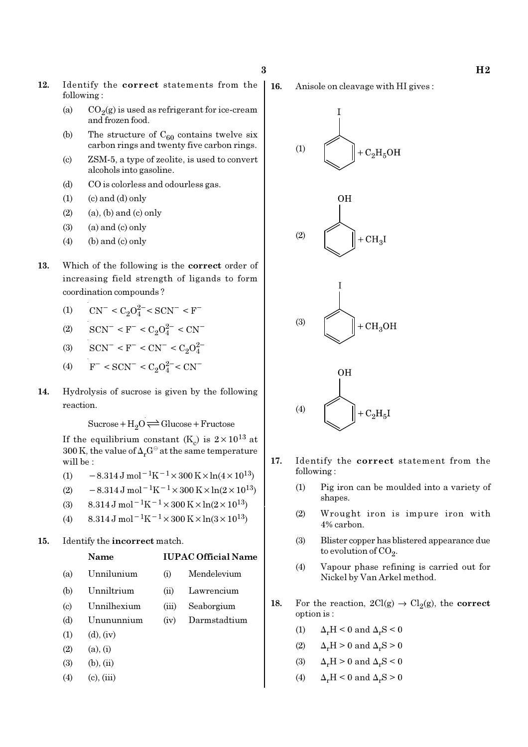- 12. Identify the correct statements from the following :
	- (a)  $CO_2(g)$  is used as refrigerant for ice-cream and frozen food.
	- (b) The structure of  $C_{60}$  contains twelve six carbon rings and twenty five carbon rings.
	- (c) ZSM-5, a type of zeolite, is used to convert alcohols into gasoline.
	- (d) CO is colorless and odourless gas.
	- $(1)$   $(c)$  and  $(d)$  only
	- $(2)$  (a), (b) and (c) only
	- $(3)$  (a) and  $(c)$  only
	- $(4)$  (b) and (c) only
- 13. Which of the following is the correct order of increasing field strength of ligands to form coordination compounds ?
	- (1)  $CN^- < C_2O_4^{2-} < SCN^- < F^-$
	- (2)  $\text{SCN}^-$  < F<sup>-</sup> < C<sub>2</sub>O<sup>2-</sup> < CN<sup>-</sup>
	- (3)  $\text{SCN}^- \leq F^- \leq \text{CN}^- \leq C_2 O_4^2$
	- (4)  $F^-$  < SCN<sup>-</sup> < C<sub>2</sub>O<sub>2</sub><sup>-</sup> < CN<sup>-</sup>
- 14. Hydrolysis of sucrose is given by the following reaction.

 $Sucrose+H_2O \rightleftharpoons Glucose+Fructose$ 

If the equilibrium constant (K<sub>c</sub>) is  $2 \times 10^{13}$  at 300 K, the value of  $\Delta_r G^\ominus$  at the same temperature will be :

- (1)  $-8.314 \,\mathrm{J} \,\mathrm{mol}^{-1} \mathrm{K}^{-1} \times 300 \,\mathrm{K} \times \ln(4 \times 10^{13})$
- (2)  $-8.314 \,\mathrm{J} \,\mathrm{mol}^{-1} \mathrm{K}^{-1} \times 300 \,\mathrm{K} \times \ln(2 \times 10^{13})$
- (3)  $8.314 \text{ J mol}^{-1}\text{K}^{-1} \times 300 \text{ K} \times \ln(2 \times 10^{13})$
- (4) 8.314 J mol<sup>-1</sup>K<sup>-1</sup> × 300 K × ln(3 × 10<sup>13</sup>)
- 15. Identify the incorrect match.

### Name IUPAC Official Name

- (a) Unnilunium (i) Mendelevium
- (b) Unniltrium (ii) Lawrencium
- (c) Unnilhexium (iii) Seaborgium
- (d) Unununnium (iv) Darmstadtium
- $(1)$   $(d)$ ,  $(iv)$
- $(2)$   $(a), (i)$
- $(3)$   $(b), (ii)$
- $(4)$  (c), (iii)

16. Anisole on cleavage with HI gives :









- 17. Identify the correct statement from the following :
	- (1) Pig iron can be moulded into a variety of shapes.
	- (2) Wrought iron is impure iron with 4% carbon.
	- (3) Blister copper has blistered appearance due to evolution of CO<sub>2</sub>.
	- (4) Vapour phase refining is carried out for Nickel by Van Arkel method.
- 18. For the reaction,  $2Cl(g) \rightarrow Cl_2(g)$ , the correct option is :
	- (1)  $\Delta_r H \leq 0$  and  $\Delta_r S \leq 0$
	- (2)  $\Delta_r H > 0$  and  $\Delta_r S > 0$
	- (3)  $\Delta_r H > 0$  and  $\Delta_r S < 0$
	- (4)  $\Delta_r H \leq 0$  and  $\Delta_r S \geq 0$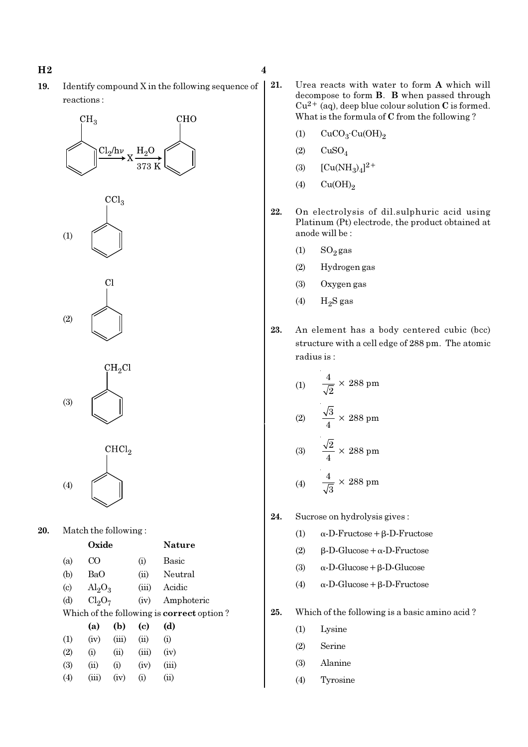19. Identify compound X in the following sequence of reactions :

373

**CHO** 

# 20. Match the following :

|                             | Oxide |                                |       | Nature                                           |  |  |
|-----------------------------|-------|--------------------------------|-------|--------------------------------------------------|--|--|
| (a)                         | ന     |                                | (i)   | Basic                                            |  |  |
| (b)                         | BaO   |                                | (ii)  | Neutral                                          |  |  |
| $\left( \mathrm{c} \right)$ |       | $\mathrm{Al}_2\mathrm{O}_3$    |       | Acidic                                           |  |  |
| (d)                         |       | Cl <sub>2</sub> O <sub>7</sub> |       | Amphoteric                                       |  |  |
|                             |       |                                |       | Which of the following is <b>correct</b> option? |  |  |
|                             | (a)   | (b)                            | (c)   | (d)                                              |  |  |
| (1)                         | (iv)  | (iii)                          | (ii)  | (i)                                              |  |  |
| (2)                         | (i)   | (ii)                           | (iii) | (iv)                                             |  |  |
| (3)                         | (ii)  | (i)                            | (iv)  | (iii)                                            |  |  |
| $\left( 4 \right)$          | (iii) | (iv)                           | (i)   | (ii)                                             |  |  |
|                             |       |                                |       |                                                  |  |  |

- 21. Urea reacts with water to form A which will decompose to form B. B when passed through  $Cu^{2+}$  (aq), deep blue colour solution C is formed. What is the formula of C from the following ?
	- (1)  $CuCO<sub>3</sub>·Cu(OH)<sub>2</sub>$
	- $(2)$   $CuSO<sub>4</sub>$
	- (3)  $[Cu(NH_3)_4]^{2+}$
	- (4)  $Cu(OH)<sub>2</sub>$
- 22. On electrolysis of dil.sulphuric acid using Platinum (Pt) electrode, the product obtained at anode will be :
	- $(1)$  SO<sub>2</sub> gas
	- (2) Hydrogen gas
	- (3) Oxygen gas
	- (4)  $H_2S$  gas
- 23. An element has a body centered cubic (bcc) structure with a cell edge of 288 pm. The atomic radius is :

(1) 
$$
\frac{4}{\sqrt{2}} \times 288 \text{ pm}
$$
  
(2) 
$$
\frac{\sqrt{3}}{4} \times 288 \text{ pm}
$$
  
(3) 
$$
\frac{\sqrt{2}}{4} \times 288 \text{ pm}
$$
  
(4) 
$$
\frac{4}{\sqrt{3}} \times 288 \text{ pm}
$$

- 24. Sucrose on hydrolysis gives :
	- (1)  $\alpha$ -D-Fructose + β-D-Fructose
	- (2)  $\beta$ -D-Glucose + α-D-Fructose
	- (3) α-D-Glucose+β-D-Glucose
	- (4)  $\alpha$ -D-Glucose + β-D-Fructose
- 25. Which of the following is a basic amino acid ?
	- (1) Lysine
	- (2) Serine
	- (3) Alanine
	- (4) Tyrosine





(3)

(1)

 $CH<sub>3</sub>$ 

 $Cl_2/h\nu$ 

 $\mathrm{CCl}_3$ 

(2)



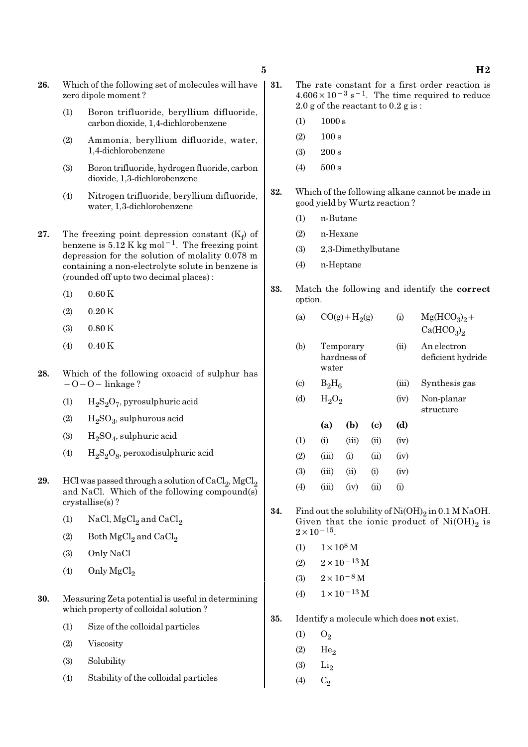- 26. Which of the following set of molecules will have zero dipole moment ?
	- (1) Boron trifluoride, beryllium difluoride, carbon dioxide, 1,4-dichlorobenzene
	- (2) Ammonia, beryllium difluoride, water, 1,4-dichlorobenzene
	- (3) Boron trifluoride, hydrogen fluoride, carbon dioxide, 1,3-dichlorobenzene
	- (4) Nitrogen trifluoride, beryllium difluoride, water, 1,3-dichlorobenzene
- 27. The freezing point depression constant  $(K_f)$  of benzene is  $5.12$  K kg mol<sup>-1</sup>. The freezing point depression for the solution of molality 0.078 m containing a non-electrolyte solute in benzene is (rounded off upto two decimal places) :
	- $(1)$  0.60 K
	- $(2)$  0.20 K
	- (3) 0.80 K
	- (4) 0.40 K
- 28. Which of the following oxoacid of sulphur has −O−O− linkage ?
	- (1)  $H_2S_2O_7$ , pyrosulphuric acid
	- (2)  $H_2SO_3$ , sulphurous acid
	- (3)  $H_2SO_4$ , sulphuric acid
	- (4)  $H_2S_2O_8$ , peroxodisulphuric acid
- **29.** HCl was passed through a solution of  $\text{CaCl}_2$ ,  $\text{MgCl}_2$ and NaCl. Which of the following compound(s) crystallise(s) ?
	- (1) NaCl,  $MgCl<sub>2</sub>$  and  $CaCl<sub>2</sub>$
	- (2) Both  $\mathrm{MgCl}_2$  and  $\mathrm{CaCl}_2$
	- (3) Only NaCl
	- (4) Only  $MgCl<sub>2</sub>$
- 30. Measuring Zeta potential is useful in determining which property of colloidal solution ?
	- (1) Size of the colloidal particles
	- (2) Viscosity
	- (3) Solubility
	- (4) Stability of the colloidal particles
- 31. The rate constant for a first order reaction is  $4.606 \times 10^{-3}$  s<sup>-1</sup>. The time required to reduce 2.0 g of the reactant to 0.2 g is :
	- $(1)$  1000 s
	- $(2)$  100 s
	- $(3)$  200 s
	- (4) 500 s
- 32. Which of the following alkane cannot be made in good yield by Wurtz reaction ?
	- (1) n-Butane
	- (2) n-Hexane
	- (3) 2,3-Dimethylbutane
	- (4) n-Heptane
- 33. Match the following and identify the correct option.
	- (a)  $CO(g) + H<sub>2</sub>(g)$ (g) (i)  $Mg(HCO_3)_2 +$  $Ca(HCO<sub>3</sub>)<sub>2</sub>$
	- (b) Temporary (ii) An electron hardness of deficient hydride water
	- (c)  $B_2H_6$ (iii) Synthesis gas (d)  $H_2O_2$ (iv) Non-planar
		- structure
	- (a) (b) (c) (d)  $(1)$   $(ii)$   $(iii)$   $(ii)$   $(iv)$  $(2)$   $(iii)$   $(i)$   $(ii)$   $(iv)$ (3) (iii) (ii) (i) (iv) (4) (iii) (iv) (ii) (i)
- **34.** Find out the solubility of  $Ni(OH)_2$  in 0.1 M NaOH. Given that the ionic product of  $\mathrm{Ni(OH)}_{2}$  is  $2 \times 10^{-15}$ .
	- (1)  $1 \times 10^8$  M
	- $(2)$  2×10<sup>-13</sup> M
	- (3)  $2 \times 10^{-8}$  M
	- (4)  $1 \times 10^{-13}$  M
- 35. Identify a molecule which does not exist.
	- $(1)$   $O_2$
	- $(2)$  He<sub>2</sub>
	- $(3)$  Li<sub>2</sub>
	- (4)  $C_2$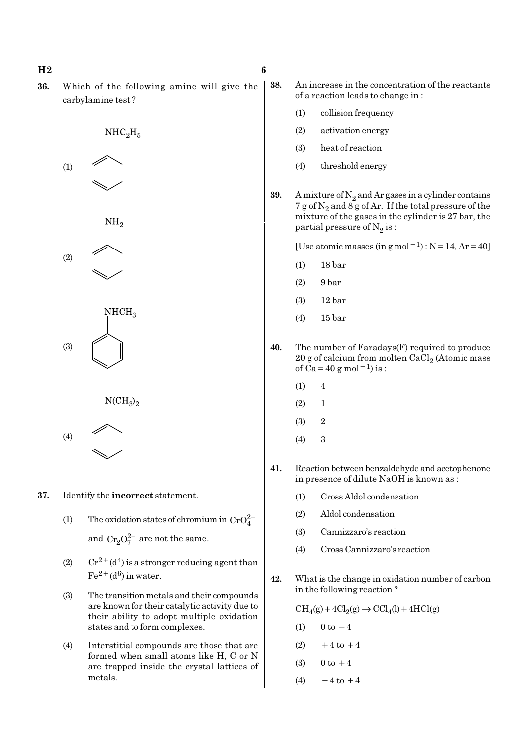### $H2 \t\t 6$

36. Which of the following amine will give the carbylamine test ?

> $NHC<sub>2</sub>H<sub>5</sub>$ (1)

 $NH<sub>o</sub>$ (2)

 $NHCH<sub>3</sub>$ (3)



- 37. Identify the incorrect statement.
	- (1) The oxidation states of chromium in  $CrO<sub>4</sub><sup>2</sup>$ and  $Cr_3O_7^{2-}$  are not the same.
	- (2)  $Cr^{2+}(d^4)$  is a stronger reducing agent than  $Fe^{2+}(d^6)$  in water.
	- (3) The transition metals and their compounds are known for their catalytic activity due to their ability to adopt multiple oxidation states and to form complexes.
	- (4) Interstitial compounds are those that are formed when small atoms like H, C or N are trapped inside the crystal lattices of metals.
- 38. An increase in the concentration of the reactants of a reaction leads to change in :
	- (1) collision frequency
	- (2) activation energy
	- (3) heat of reaction
	- (4) threshold energy
- **39.** A mixture of  $N_2$  and Ar gases in a cylinder contains 7 g of  $\mathrm{N}_2$  and 8 g of Ar. If the total pressure of the mixture of the gases in the cylinder is 27 bar, the partial pressure of  $\mathrm{N}_2 \, \mathrm{is}$  :

[Use atomic masses (in g mol<sup>-1</sup>) : N=14, Ar=40]

- (1) 18 bar
- (2) 9 bar
- (3) 12 bar
- (4) 15 bar
- 40. The number of Faradays(F) required to produce  $20$  g of calcium from molten CaCl $_2$  (Atomic mass of  $\tilde{Ca}$  = 40 g mol<sup>-1</sup>) is :
	- $(1) 4$
	- $(2) 1$
	- $(3)$  2
	- (4) 3
- 41. Reaction between benzaldehyde and acetophenone in presence of dilute NaOH is known as :
	- (1) Cross Aldol condensation
	- (2) Aldol condensation
	- (3) Cannizzaro's reaction
	- (4) Cross Cannizzaro's reaction
- 42. What is the change in oxidation number of carbon in the following reaction ?

 $\text{CH}_4(g) + 4\text{Cl}_2(g) \rightarrow \text{CCl}_4(l) + 4\text{HCl}(g)$ 

- (1)  $0 \text{ to } -4$
- $(2) +4$  to  $+4$
- (3)  $0 \text{ to } +4$
- (4)  $-4$  to  $+4$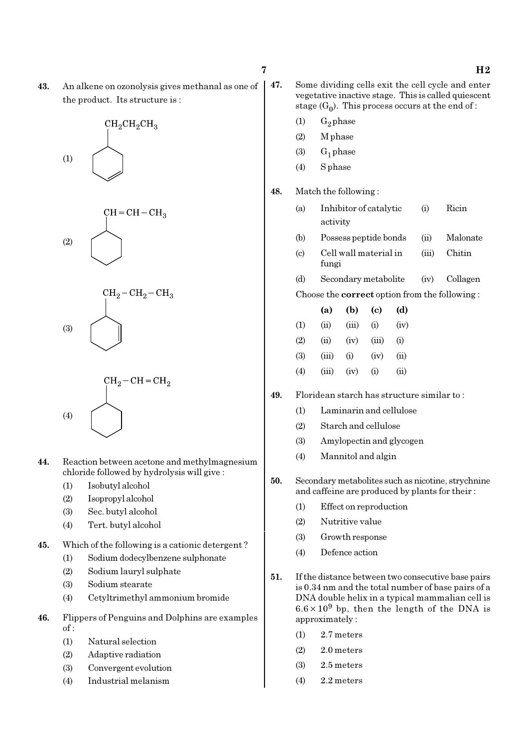43. An alkene on ozonolysis gives methanal as one of the product. Its structure is :









- 44. Reaction between acetone and methylmagnesium chloride followed by hydrolysis will give :
	- (1) Isobutyl alcohol
	- (2) Isopropyl alcohol
	- (3) Sec. butyl alcohol
	- (4) Tert. butyl alcohol
- 45. Which of the following is a cationic detergent ?
	- (1) Sodium dodecylbenzene sulphonate
	- (2) Sodium lauryl sulphate
	- (3) Sodium stearate
	- (4) Cetyltrimethyl ammonium bromide
- 46. Flippers of Penguins and Dolphins are examples  $of:$ 
	- (1) Natural selection
	- (2) Adaptive radiation
	- (3) Convergent evolution
	- (4) Industrial melanism

- 47. Some dividing cells exit the cell cycle and enter vegetative inactive stage. This is called quiescent stage  $(G_0)$ . This process occurs at the end of :
	- $(1)$  G<sub>2</sub> phase
	- (2) M phase (3)  $G_1$  phase
	- (4) S phase

48. Match the following :

- (a) Inhibitor of catalytic (i) Ricin activity
- (b) Possess peptide bonds (ii) Malonate
- (c) Cell wall material in (iii) Chitin fungi
- (d) Secondary metabolite (iv) Collagen
- Choose the correct option from the following :

|     | (a)   | (b)   | (c)   | (d)  |
|-----|-------|-------|-------|------|
| (1) | (ii)  | (iii) | (i)   | (iv) |
| (2) | (ii)  | (iv)  | (iii) | (i)  |
| (3) | (iii) | (i)   | (iv)  | (ii) |
| (4) | (iii) | (iv)  | (i)   | (ii) |

- 49. Floridean starch has structure similar to :
	- (1) Laminarin and cellulose
	- (2) Starch and cellulose
	- (3) Amylopectin and glycogen
	- (4) Mannitol and algin
- 50. Secondary metabolites such as nicotine, strychnine and caffeine are produced by plants for their :
	- (1) Effect on reproduction
	- (2) Nutritive value
	- (3) Growth response
	- (4) Defence action
- 51. If the distance between two consecutive base pairs is 0.34 nm and the total number of base pairs of a DNA double helix in a typical mammalian cell is  $6.6 \times 10^9$  bp, then the length of the DNA is approximately :
	- (1) 2.7 meters
	- (2) 2.0 meters
	- (3) 2.5 meters
	- (4) 2.2 meters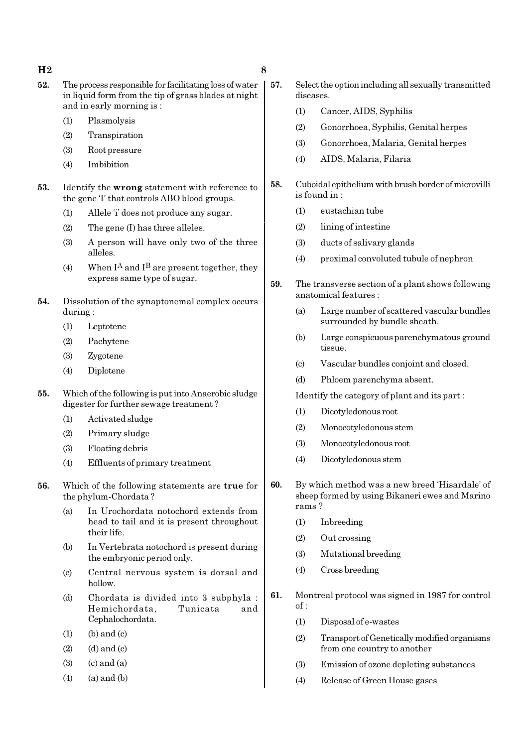### $H2 \hspace{2.5cm} 8$

- 52. The process responsible for facilitating loss of water in liquid form from the tip of grass blades at night and in early morning is :
	- (1) Plasmolysis
	- (2) Transpiration
	- (3) Root pressure
	- (4) Imbibition
- 53. Identify the wrong statement with reference to the gene 'I' that controls ABO blood groups.
	- (1) Allele 'i' does not produce any sugar.
	- (2) The gene (I) has three alleles.
	- (3) A person will have only two of the three alleles.
	- (4) When  $I^A$  and  $I^B$  are present together, they express same type of sugar.
- 54. Dissolution of the synaptonemal complex occurs during :
	- (1) Leptotene
	- (2) Pachytene
	- (3) Zygotene
	- (4) Diplotene
- 55. Which of the following is put into Anaerobic sludge digester for further sewage treatment ?
	- (1) Activated sludge
	- (2) Primary sludge
	- (3) Floating debris
	- (4) Effluents of primary treatment
- 56. Which of the following statements are true for the phylum-Chordata ?
	- (a) In Urochordata notochord extends from head to tail and it is present throughout their life.
	- (b) In Vertebrata notochord is present during the embryonic period only.
	- (c) Central nervous system is dorsal and hollow.
	- (d) Chordata is divided into 3 subphyla : Hemichordata, Tunicata and Cephalochordata.
	- $(1)$  (b) and  $(c)$
	- $(2)$   $(d)$  and  $(c)$
	- $(3)$   $(c)$  and  $(a)$
	- $(4)$   $(a)$  and  $(b)$
- 57. Select the option including all sexually transmitted diseases.
	- (1) Cancer, AIDS, Syphilis
	- (2) Gonorrhoea, Syphilis, Genital herpes
	- (3) Gonorrhoea, Malaria, Genital herpes
	- (4) AIDS, Malaria, Filaria
- 58. Cuboidal epithelium with brush border of microvilli is found in :
	- (1) eustachian tube
	- (2) lining of intestine
	- (3) ducts of salivary glands
	- (4) proximal convoluted tubule of nephron
- 59. The transverse section of a plant shows following anatomical features :
	- (a) Large number of scattered vascular bundles surrounded by bundle sheath.
	- (b) Large conspicuous parenchymatous ground tissue.
	- (c) Vascular bundles conjoint and closed.
	- (d) Phloem parenchyma absent.

Identify the category of plant and its part :

- (1) Dicotyledonous root
- (2) Monocotyledonous stem
- (3) Monocotyledonous root
- (4) Dicotyledonous stem
- 60. By which method was a new breed 'Hisardale' of sheep formed by using Bikaneri ewes and Marino rams ?
	- (1) Inbreeding
	- (2) Out crossing
	- (3) Mutational breeding
	- (4) Cross breeding
- 61. Montreal protocol was signed in 1987 for control of :
	- (1) Disposal of e-wastes
	- (2) Transport of Genetically modified organisms from one country to another
	- (3) Emission of ozone depleting substances
	- (4) Release of Green House gases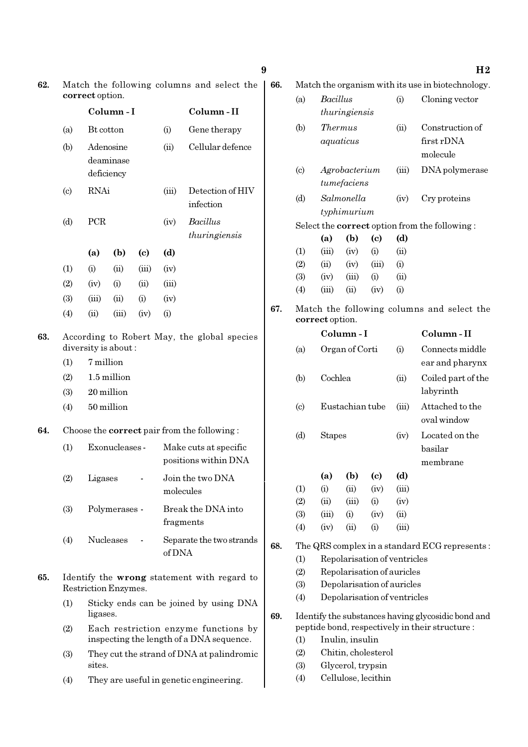| 62. | Match the following columns and select the<br>correct option. |                                                   |                                  |                             |        |                                                                                                     |                        | Match the organism with its use in biotechnology.                                         |                             |                              |                              |                 |                                               |
|-----|---------------------------------------------------------------|---------------------------------------------------|----------------------------------|-----------------------------|--------|-----------------------------------------------------------------------------------------------------|------------------------|-------------------------------------------------------------------------------------------|-----------------------------|------------------------------|------------------------------|-----------------|-----------------------------------------------|
|     |                                                               |                                                   | Column-I                         |                             |        | Column-II                                                                                           |                        | (a)                                                                                       | Bacillus                    | thuringiensis                |                              | (i)             | Cloning vector                                |
|     | (a)                                                           | Bt cotton                                         |                                  |                             | (i)    | Gene therapy                                                                                        |                        | (b)                                                                                       | <b>Thermus</b><br>aquaticus |                              |                              | (ii)            | Construction of<br>first rDNA                 |
|     | (b)                                                           | Adenosine<br>(ii)<br>deaminase                    |                                  | Cellular defence            |        |                                                                                                     |                        |                                                                                           |                             |                              | molecule                     |                 |                                               |
|     | $\left( \mathrm{c} \right)$                                   | <b>RNAi</b>                                       | deficiency                       |                             | (iii)  | Detection of HIV                                                                                    |                        | (c)                                                                                       |                             | Agrobacterium<br>tumefaciens |                              | (iii)           | DNA polymerase                                |
|     |                                                               |                                                   |                                  |                             |        | infection                                                                                           |                        | (d)                                                                                       |                             | Salmonella<br>typhimurium    |                              | (iv)            | Cry proteins                                  |
|     | (d)                                                           | PCR                                               |                                  |                             | (iv)   | Bacillus<br>thuringiensis                                                                           |                        |                                                                                           |                             |                              | $\left( \mathrm{e}\right)$   | (d)             | Select the correct option from the following: |
|     |                                                               | (a)                                               | (b)                              | $\left( \mathbf{c} \right)$ | (d)    |                                                                                                     |                        | (1)                                                                                       | (iii)                       | (iv)                         | (i)                          | (ii)            |                                               |
|     | (1)                                                           | (i)                                               | (ii)                             | (iii)                       | (iv)   |                                                                                                     |                        | (2)                                                                                       | (ii)                        | (iv)                         | (iii)                        | (i)             |                                               |
|     | (2)                                                           | (iv)                                              | (i)                              | (ii)                        | (iii)  |                                                                                                     |                        | (3)<br>(4)                                                                                | (iv)<br>(iii)               | (iii)<br>(ii)                | (i)<br>(iv)                  | (ii)<br>(i)     |                                               |
|     | (3)                                                           | (iii)                                             | (ii)                             | (i)                         | (iv)   |                                                                                                     |                        |                                                                                           |                             |                              |                              |                 |                                               |
|     | (4)                                                           | (ii)                                              | (iii)                            | (iv)                        | (i)    |                                                                                                     | 67.                    |                                                                                           | correct option.             |                              |                              |                 | Match the following columns and select the    |
| 63. |                                                               |                                                   |                                  |                             |        | According to Robert May, the global species                                                         |                        |                                                                                           |                             | Column-I                     |                              |                 | Column-II                                     |
|     | (1)                                                           |                                                   | diversity is about:<br>7 million |                             |        |                                                                                                     |                        | (a)                                                                                       |                             | Organ of Corti               |                              | (i)             | Connects middle<br>ear and pharynx            |
|     | (2)                                                           | 1.5 million                                       |                                  |                             |        |                                                                                                     |                        | (b)                                                                                       |                             | Cochlea                      |                              |                 | Coiled part of the<br>labyrinth               |
|     | (3)                                                           | 20 million                                        |                                  |                             |        |                                                                                                     | Eustachian tube<br>(c) |                                                                                           |                             |                              |                              | Attached to the |                                               |
|     | (4)                                                           | 50 million                                        |                                  |                             |        |                                                                                                     |                        |                                                                                           |                             |                              | (iii)                        | oval window     |                                               |
| 64. | (1)                                                           |                                                   | Exonucleases -                   |                             |        | Choose the <b>correct</b> pair from the following:<br>Make cuts at specific<br>positions within DNA |                        | (d)                                                                                       | <b>Stapes</b>               |                              |                              | (iv)            | Located on the<br>basilar<br>membrane         |
|     | (2)                                                           | Ligases                                           |                                  |                             |        | Join the two DNA                                                                                    |                        |                                                                                           | (a)                         |                              | $(b)$ $(c)$                  | (d)             |                                               |
|     |                                                               |                                                   |                                  |                             |        | molecules                                                                                           |                        | (1)                                                                                       | (i)                         | (ii)                         | (iv)                         | (iii)           |                                               |
|     | (3)                                                           |                                                   | Polymerases -                    |                             |        | Break the DNA into                                                                                  |                        | (2)<br>(3)                                                                                | (ii)<br>(iii)               | (iii)<br>(i)                 | (i)<br>(iv)                  | (iv)<br>(ii)    |                                               |
|     |                                                               |                                                   |                                  |                             |        | fragments                                                                                           |                        | (4)                                                                                       | (iv)                        | (ii)                         | (i)                          | (iii)           |                                               |
|     | (4)                                                           |                                                   | Nucleases                        |                             |        | Separate the two strands                                                                            | 68.                    |                                                                                           |                             |                              |                              |                 | The QRS complex in a standard ECG represents: |
|     |                                                               |                                                   |                                  |                             | of DNA |                                                                                                     |                        | (1)                                                                                       |                             |                              | Repolarisation of ventricles |                 |                                               |
| 65. |                                                               |                                                   |                                  |                             |        | Identify the wrong statement with regard to                                                         |                        | (2)                                                                                       |                             |                              | Repolarisation of auricles   |                 |                                               |
|     |                                                               | Restriction Enzymes.                              |                                  |                             |        |                                                                                                     |                        | (3)                                                                                       |                             |                              | Depolarisation of auricles   |                 |                                               |
|     | (1)                                                           | ligases.                                          |                                  |                             |        | Sticky ends can be joined by using DNA                                                              | 69.                    | Depolarisation of ventricles<br>(4)<br>Identify the substances having glycosidic bond and |                             |                              |                              |                 |                                               |
|     | (2)                                                           |                                                   |                                  |                             |        | Each restriction enzyme functions by<br>inspecting the length of a DNA sequence.                    |                        | peptide bond, respectively in their structure :<br>Inulin, insulin<br>(1)                 |                             |                              |                              |                 |                                               |
|     | (3)                                                           |                                                   |                                  |                             |        | They cut the strand of DNA at palindromic                                                           |                        | (2)<br>(3)                                                                                |                             |                              | Chitin, cholesterol          |                 |                                               |
|     | (4)                                                           | sites.<br>They are useful in genetic engineering. |                                  |                             |        |                                                                                                     |                        | Glycerol, trypsin<br>Cellulose, lecithin<br>(4)                                           |                             |                              |                              |                 |                                               |

 $9$  H<sub>2</sub>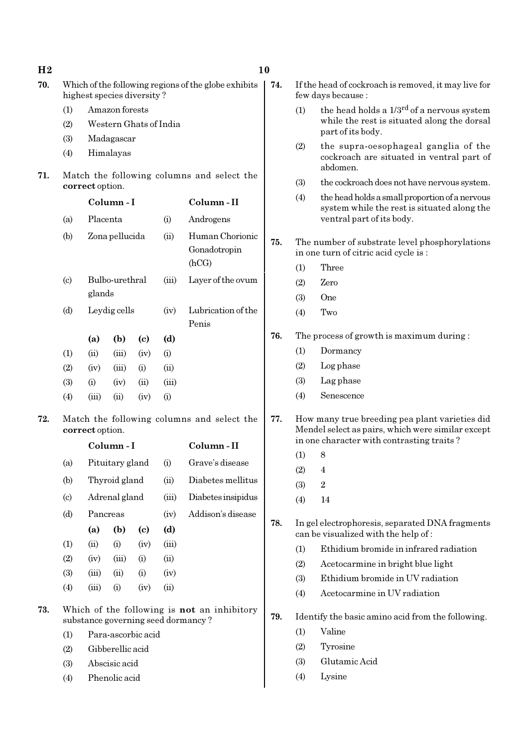| 70.<br>highest species diversity?<br>(1)<br>(2)<br>(3) | Amazon forests<br>Western Ghats of India<br>Madagascar<br>Himalayas |                            |                                 | Which of the following regions of the globe exhibits | 74. | (1)                                                                                                                                              | If the head of cockroach is removed, it may live for<br>few days because:<br>the head holds a 1/3 <sup>rd</sup> of a nervous system |  |  |
|--------------------------------------------------------|---------------------------------------------------------------------|----------------------------|---------------------------------|------------------------------------------------------|-----|--------------------------------------------------------------------------------------------------------------------------------------------------|-------------------------------------------------------------------------------------------------------------------------------------|--|--|
|                                                        |                                                                     |                            |                                 |                                                      |     |                                                                                                                                                  |                                                                                                                                     |  |  |
|                                                        |                                                                     |                            |                                 |                                                      |     |                                                                                                                                                  |                                                                                                                                     |  |  |
|                                                        |                                                                     |                            |                                 |                                                      |     |                                                                                                                                                  | while the rest is situated along the dorsal<br>part of its body.                                                                    |  |  |
| (4)                                                    |                                                                     |                            |                                 |                                                      |     | (2)                                                                                                                                              | the supra-oesophageal ganglia of the<br>cockroach are situated in ventral part of<br>abdomen.                                       |  |  |
| 71.                                                    | Match the following columns and select the<br>correct option.       |                            |                                 |                                                      |     | (3)                                                                                                                                              | the cockroach does not have nervous system.                                                                                         |  |  |
|                                                        | Column-I                                                            |                            |                                 | Column-II                                            |     | (4)                                                                                                                                              | the head holds a small proportion of a nervous<br>system while the rest is situated along the                                       |  |  |
| (a)                                                    | Placenta                                                            |                            | (i)                             | Androgens                                            |     |                                                                                                                                                  | ventral part of its body.                                                                                                           |  |  |
| (b)                                                    | Zona pellucida<br>(ii)                                              |                            | Human Chorionic<br>Gonadotropin | 75.                                                  |     | The number of substrate level phosphorylations<br>in one turn of citric acid cycle is:                                                           |                                                                                                                                     |  |  |
|                                                        |                                                                     |                            |                                 | (hCG)                                                |     | (1)                                                                                                                                              | Three                                                                                                                               |  |  |
| (c)                                                    | Bulbo-urethral                                                      |                            | (iii)                           | Layer of the ovum                                    |     | (2)                                                                                                                                              | Zero                                                                                                                                |  |  |
| glands                                                 |                                                                     |                            |                                 |                                                      |     | (3)                                                                                                                                              | One                                                                                                                                 |  |  |
| (d)                                                    | Leydig cells                                                        |                            | (iv)                            | Lubrication of the<br>Penis                          |     | (4)                                                                                                                                              | Two                                                                                                                                 |  |  |
| (a)                                                    | (b)                                                                 | $\left( \mathrm{c}\right)$ | (d)                             |                                                      | 76. |                                                                                                                                                  | The process of growth is maximum during:                                                                                            |  |  |
| (1)<br>(ii)                                            | (iii)                                                               | (iv)                       | (i)                             |                                                      |     | (1)                                                                                                                                              | Dormancy                                                                                                                            |  |  |
| (2)<br>(iv)                                            | (iii)                                                               | (i)                        | (ii)                            |                                                      |     | (2)                                                                                                                                              | Log phase                                                                                                                           |  |  |
| (3)<br>(i)                                             | (iv)                                                                | (ii)                       | (iii)                           |                                                      |     | (3)                                                                                                                                              | Lag phase                                                                                                                           |  |  |
| (4)<br>(iii)                                           | (ii)                                                                | (iv)                       | (i)                             |                                                      |     | (4)                                                                                                                                              | Senescence                                                                                                                          |  |  |
| 72.<br>correct option.                                 |                                                                     |                            |                                 | Match the following columns and select the           | 77. | How many true breeding pea plant varieties did<br>Mendel select as pairs, which were similar except<br>in one character with contrasting traits? |                                                                                                                                     |  |  |
|                                                        | Column-I                                                            |                            |                                 | Column-II                                            |     | (1)<br>8                                                                                                                                         |                                                                                                                                     |  |  |
| (a)                                                    | Pituitary gland                                                     |                            | (i)                             | Grave's disease                                      |     | (2)                                                                                                                                              | $\overline{4}$                                                                                                                      |  |  |
| (b)                                                    | Thyroid gland                                                       |                            | (ii)                            | Diabetes mellitus                                    |     | (3)                                                                                                                                              | $\sqrt{2}$                                                                                                                          |  |  |
| $\left( \circ \right)$                                 | Adrenal gland                                                       |                            | (iii)                           | Diabetes insipidus                                   |     | (4)                                                                                                                                              | 14                                                                                                                                  |  |  |
| (d)                                                    | Pancreas                                                            |                            | (iv)                            | Addison's disease                                    |     |                                                                                                                                                  |                                                                                                                                     |  |  |
| (a)                                                    | (b)                                                                 | $\left( \mathrm{c}\right)$ | (d)                             |                                                      | 78. |                                                                                                                                                  | In gel electrophoresis, separated DNA fragments<br>can be visualized with the help of:                                              |  |  |
| (ii)<br>(1)                                            | (i)                                                                 | (iv)                       | (iii)                           |                                                      |     | (1)                                                                                                                                              | Ethidium bromide in infrared radiation                                                                                              |  |  |
| (2)<br>(iv)                                            | (iii)                                                               | (i)                        | (ii)                            |                                                      |     | (2)                                                                                                                                              | Acetocarmine in bright blue light                                                                                                   |  |  |
| (3)<br>(iii)                                           | (ii)                                                                | (i)                        | (iv)                            |                                                      |     | (3)                                                                                                                                              | Ethidium bromide in UV radiation                                                                                                    |  |  |
| (4)<br>(iii)                                           | (i)                                                                 | (iv)                       | (ii)                            |                                                      |     | (4)                                                                                                                                              | Acetocarmine in UV radiation                                                                                                        |  |  |
| 73.<br>substance governing seed dormancy?              |                                                                     |                            |                                 | Which of the following is not an inhibitory          | 79. |                                                                                                                                                  | Identify the basic amino acid from the following.                                                                                   |  |  |
| (1)                                                    | Para-ascorbic acid                                                  |                            |                                 |                                                      |     | (1)                                                                                                                                              | Valine                                                                                                                              |  |  |
| (2)                                                    | Gibberellic acid                                                    |                            |                                 |                                                      |     | (2)                                                                                                                                              | Tyrosine                                                                                                                            |  |  |
| (3)                                                    | Abscisic acid                                                       |                            |                                 |                                                      |     | (3)                                                                                                                                              | Glutamic Acid                                                                                                                       |  |  |
| (4)                                                    | Phenolic acid                                                       |                            |                                 |                                                      |     | (4)                                                                                                                                              | Lysine                                                                                                                              |  |  |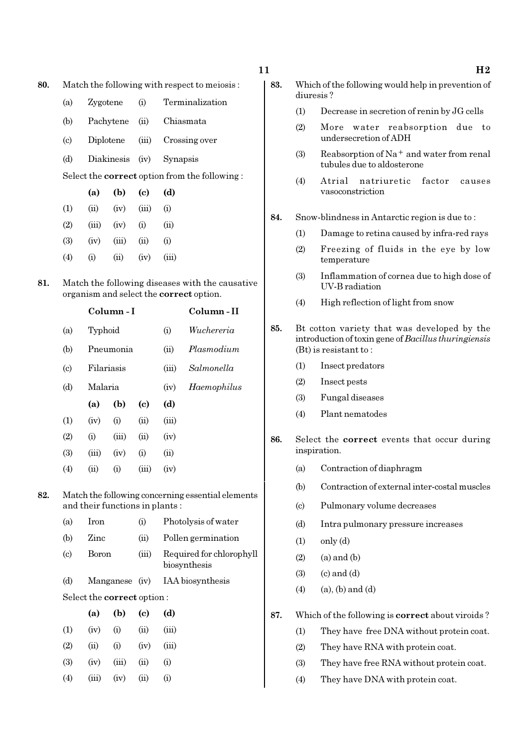$11$  H<sub>2</sub>

- 80. Match the following with respect to meiosis :
	- (a) Zygotene (i) Terminalization
	- (b) Pachytene (ii) Chiasmata
	- (c) Diplotene (iii) Crossing over
	- (d) Diakinesis (iv) Synapsis

Select the correct option from the following :

|     | (a)   | (b)   | (c)   | (d)      |
|-----|-------|-------|-------|----------|
| (1) | (ii)  | (iv)  | (iii) | (i)      |
| (2) | (iii) | (iv)  | (i)   | (ii)     |
| (3) | (iv)  | (iii) | (ii)  | $\rm(i)$ |
| (4) | (i)   | (ii)  | (iv)  | (iii)    |

81. Match the following diseases with the causative organism and select the correct option.

|                            |         | Column - I | Column - II |       |             |
|----------------------------|---------|------------|-------------|-------|-------------|
| (a)                        | Typhoid |            |             | (i)   | Wuchereria  |
| (b)                        |         | Pneumonia  |             | (ii)  | Plasmodium  |
| $\left( \mathrm{c}\right)$ |         | Filariasis |             | (iii) | Salmonella  |
| (d)                        | Malaria |            |             | (iv)  | Haemophilus |
|                            | (a)     | (b)        | (c)         | (d)   |             |
| (1)                        | (iv)    | (i)        | (ii)        | (iii) |             |
| (2)                        | (i)     | (iii)      | (ii)        | (iv)  |             |
| (3)                        | (iii)   | (iv)       | (i)         | (ii)  |             |
| $\left( 4\right)$          | (ii)    | (i)        | (iii)       | (iv)  |             |

- 82. Match the following concerning essential elements and their functions in plants :
	- (a) Iron (i) Photolysis of water (b) Zinc (ii) Pollen germination (c) Boron (iii) Required for chlorophyll biosynthesis (d) Manganese (iv) IAA biosynthesis Select the correct option : (a) (b) (c)  $(d)$

|                   | w     | 1 N J | w              | w         |
|-------------------|-------|-------|----------------|-----------|
| (1)               | (iv)  | (i)   | (ii)           | (iii)     |
| $\left( 2\right)$ | (ii)  | (i)   | (iv)           | (iii)     |
| (3)               | (iv)  | (iii) | (ii)           | $\rm(i)$  |
| $\left( 4\right)$ | (iii) | (iv)  | $\overline{u}$ | $\rm (i)$ |

- 83. Which of the following would help in prevention of diuresis ?
	- (1) Decrease in secretion of renin by JG cells
	- (2) More water reabsorption due to undersecretion of ADH
	- (3) Reabsorption of Na<sup>+</sup> and water from renal tubules due to aldosterone
	- (4) Atrial natriuretic factor causes vasoconstriction
- 84. Snow-blindness in Antarctic region is due to :
	- (1) Damage to retina caused by infra-red rays
	- (2) Freezing of fluids in the eye by low temperature
	- (3) Inflammation of cornea due to high dose of UV-B radiation
	- (4) High reflection of light from snow
- 85. Bt cotton variety that was developed by the introduction of toxin gene of Bacillus thuringiensis (Bt) is resistant to :
	- (1) Insect predators
	- (2) Insect pests
	- (3) Fungal diseases
	- (4) Plant nematodes
- 86. Select the correct events that occur during inspiration.
	- (a) Contraction of diaphragm
	- (b) Contraction of external inter-costal muscles
	- (c) Pulmonary volume decreases
	- (d) Intra pulmonary pressure increases
	- $(1)$  only  $(d)$
	- $(2)$   $(a)$  and  $(b)$
	- $(3)$   $(c)$  and  $(d)$
	- $(4)$   $(a)$ ,  $(b)$  and  $(d)$
- 87. Which of the following is correct about viroids ?
	- (1) They have free DNA without protein coat.
	- (2) They have RNA with protein coat.
	- (3) They have free RNA without protein coat.
	- (4) They have DNA with protein coat.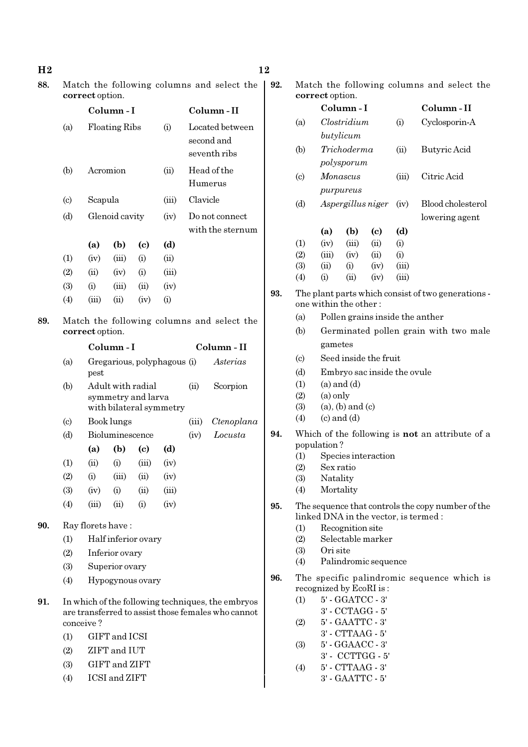| 88. | Match the following columns and select the<br>correct option. |                        |                             |                             |                |                  |                                                                                                         | 92.<br>Match the following columns and select the<br>correct option. |                                                        |                         |                                                     |                             |            |                                                                                            |
|-----|---------------------------------------------------------------|------------------------|-----------------------------|-----------------------------|----------------|------------------|---------------------------------------------------------------------------------------------------------|----------------------------------------------------------------------|--------------------------------------------------------|-------------------------|-----------------------------------------------------|-----------------------------|------------|--------------------------------------------------------------------------------------------|
|     |                                                               |                        | Column-I                    |                             |                |                  | Column-II                                                                                               |                                                                      |                                                        |                         | Column-I                                            |                             |            | Column-II                                                                                  |
|     | (a)                                                           |                        | <b>Floating Ribs</b>        |                             | (i)            |                  | Located between<br>second and                                                                           |                                                                      | (a)                                                    |                         | Clostridium<br>butylicum                            |                             | (i)        | Cyclosporin-A                                                                              |
|     |                                                               |                        |                             |                             |                |                  | seventh ribs                                                                                            |                                                                      | (b)                                                    |                         | Trichoderma                                         |                             | (ii)       | Butyric Acid                                                                               |
|     | (b)                                                           |                        | Acromion                    |                             | (ii)           |                  | Head of the<br>Humerus                                                                                  |                                                                      | $\left( \circ \right)$                                 |                         | polysporum<br>Monascus                              |                             | (iii)      | Citric Acid                                                                                |
|     | $\left( \mathrm{c}\right)$                                    | Scapula                |                             |                             | (iii)          | Clavicle         |                                                                                                         |                                                                      | (d)                                                    |                         | purpureus                                           | Aspergillus niger           | (iv)       | Blood cholesterol                                                                          |
|     | (d)                                                           | Glenoid cavity<br>(iv) |                             |                             | Do not connect |                  |                                                                                                         |                                                                      |                                                        |                         |                                                     | lowering agent              |            |                                                                                            |
|     |                                                               |                        |                             |                             |                |                  | with the sternum                                                                                        |                                                                      |                                                        | (a)                     | (b)                                                 | (c)                         | (d)        |                                                                                            |
|     |                                                               | (a)                    | (b)                         | $\left( \mathrm{c}\right)$  | (d)            |                  |                                                                                                         |                                                                      | (1)<br>(2)                                             | (iv)<br>(iii)           | (iii)<br>(iv)                                       | (ii)<br>(ii)                | (i)<br>(i) |                                                                                            |
|     | (1)                                                           | (iv)                   | (iii)                       | (i)                         | (ii)           |                  |                                                                                                         |                                                                      | (3)                                                    | (ii)                    | (i)                                                 | (iv)                        | (iii)      |                                                                                            |
|     | (2)                                                           | (ii)                   | (iv)                        | (i)                         | (iii)          |                  |                                                                                                         |                                                                      | (4)                                                    | (i)                     | (ii)                                                | (iv)                        | (iii)      |                                                                                            |
|     | (3)<br>(4)                                                    | (i)<br>(iii)           | (iii)<br>(ii)               | (ii)<br>(iv)                | (iv)<br>(i)    |                  |                                                                                                         | 93.                                                                  |                                                        | one within the other:   |                                                     |                             |            | The plant parts which consist of two generations -                                         |
|     |                                                               |                        |                             |                             |                |                  |                                                                                                         |                                                                      | (a)                                                    |                         |                                                     |                             |            | Pollen grains inside the anther                                                            |
| 89. |                                                               | correct option.        |                             |                             |                |                  | Match the following columns and select the                                                              |                                                                      | (b)                                                    |                         |                                                     |                             |            | Germinated pollen grain with two male                                                      |
|     |                                                               |                        |                             |                             |                |                  |                                                                                                         |                                                                      |                                                        | gametes                 |                                                     |                             |            |                                                                                            |
|     |                                                               |                        | Column-I                    |                             |                |                  | Column - II                                                                                             |                                                                      | $\left( \mathrm{c}\right)$                             |                         |                                                     | Seed inside the fruit       |            |                                                                                            |
|     | (a)                                                           | pest                   |                             | Gregarious, polyphagous (i) |                |                  | Asterias                                                                                                |                                                                      | (d)                                                    |                         |                                                     | Embryo sac inside the ovule |            |                                                                                            |
|     | (b)                                                           |                        |                             | Adult with radial           |                | (ii)<br>Scorpion |                                                                                                         |                                                                      | (1)                                                    |                         | $(a)$ and $(d)$                                     |                             |            |                                                                                            |
|     |                                                               |                        |                             | symmetry and larva          |                |                  |                                                                                                         |                                                                      | (2)                                                    | (a) only                |                                                     |                             |            |                                                                                            |
|     |                                                               |                        |                             | with bilateral symmetry     |                |                  |                                                                                                         |                                                                      | (3)                                                    |                         | $(a)$ , $(b)$ and $(c)$                             |                             |            |                                                                                            |
|     | $\left( \circ \right)$                                        |                        | Book lungs                  |                             |                | (iii)            | Ctenoplana                                                                                              |                                                                      | (4)                                                    |                         | $(c)$ and $(d)$                                     |                             |            |                                                                                            |
|     | (d)                                                           |                        | Bioluminescence             |                             |                | (iv)             | Locusta                                                                                                 | 94.                                                                  | Which of the following is <b>not</b> an attribute of a |                         |                                                     |                             |            |                                                                                            |
|     |                                                               | (a)                    | (b)                         | $\left( \mathrm{c}\right)$  | (d)            |                  |                                                                                                         |                                                                      |                                                        | population?             |                                                     |                             |            |                                                                                            |
|     | (1)                                                           | (ii)                   | (i)                         | (iii)                       | (iv)           |                  |                                                                                                         |                                                                      | (1)<br>(2)                                             | Sex ratio               |                                                     | Species interaction         |            |                                                                                            |
|     | (2)                                                           | (i)                    | (iii)                       | (ii)                        | (iv)           |                  |                                                                                                         |                                                                      | (3)                                                    | Natality                |                                                     |                             |            |                                                                                            |
|     | (3)                                                           | (iv)                   | (i)                         | (ii)                        | (iii)          |                  |                                                                                                         |                                                                      | (4)                                                    | Mortality               |                                                     |                             |            |                                                                                            |
|     | (4)                                                           | (iii)                  | (ii)                        | (i)                         | (iv)           |                  |                                                                                                         | 95.                                                                  |                                                        |                         |                                                     |                             |            | The sequence that controls the copy number of the<br>linked DNA in the vector, is termed : |
| 90. |                                                               | Ray florets have:      |                             |                             |                |                  |                                                                                                         |                                                                      | (1)                                                    |                         | Recognition site                                    |                             |            |                                                                                            |
|     | (1)                                                           |                        |                             | Half inferior ovary         |                |                  |                                                                                                         |                                                                      | (2)                                                    |                         |                                                     | Selectable marker           |            |                                                                                            |
|     | (2)                                                           |                        | Inferior ovary              |                             |                |                  |                                                                                                         |                                                                      | (3)                                                    | Ori site                |                                                     |                             |            |                                                                                            |
|     | (3)                                                           |                        | Superior ovary              |                             |                |                  |                                                                                                         |                                                                      | (4)                                                    |                         |                                                     | Palindromic sequence        |            |                                                                                            |
|     | (4)                                                           |                        |                             | Hypogynous ovary            |                |                  |                                                                                                         | 96.                                                                  |                                                        | recognized by EcoRI is: |                                                     |                             |            | The specific palindromic sequence which is                                                 |
| 91. |                                                               |                        |                             |                             |                |                  | In which of the following techniques, the embryos<br>are transferred to assist those females who cannot |                                                                      | (1)                                                    |                         | 5' - GGATCC - 3'<br>$3'$ - $\mathrm{CCTAGG}$ - $5'$ |                             |            |                                                                                            |
|     |                                                               | conceive?              |                             |                             |                |                  |                                                                                                         |                                                                      | (2)                                                    |                         | 5' - GAATTC - 3'<br>3' - CTTAAG - 5'                |                             |            |                                                                                            |
|     | (1)                                                           |                        | GIFT and ICSI               |                             |                |                  |                                                                                                         |                                                                      | (3)                                                    |                         | 5' - GGAACC - 3'                                    |                             |            |                                                                                            |
|     | (2)                                                           |                        | ZIFT and IUT                |                             |                |                  |                                                                                                         |                                                                      |                                                        |                         |                                                     | 3' - CCTTGG - 5'            |            |                                                                                            |
|     | (3)                                                           |                        | GIFT and ZIFT               |                             |                |                  |                                                                                                         |                                                                      | (4)                                                    |                         | $5'$ - $CTTAAG$ - $3'$                              |                             |            |                                                                                            |
|     | (4)                                                           |                        | <b>ICSI</b> and <b>ZIFT</b> |                             |                |                  |                                                                                                         |                                                                      |                                                        |                         | $3'$ - $\text{GAATTC}$ - $5'$                       |                             |            |                                                                                            |

 $H2$  and  $12$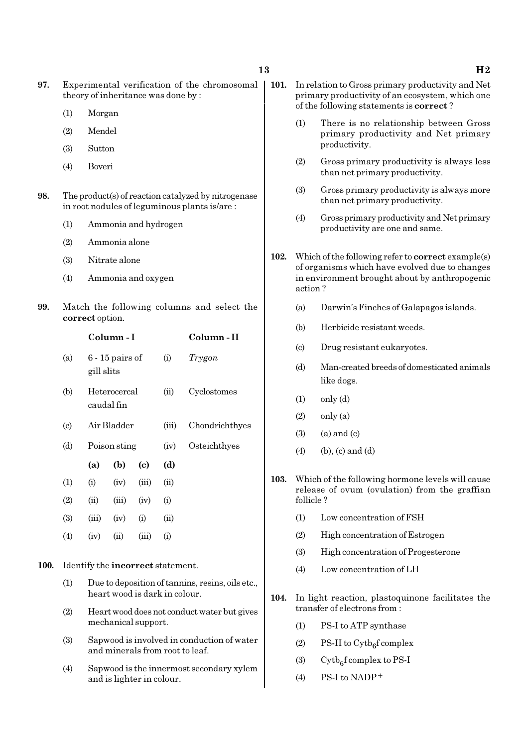- (1) Morgan
- (2) Mendel
- (3) Sutton
- (4) Boveri
- 98. The product(s) of reaction catalyzed by nitrogenase in root nodules of leguminous plants is/are :
	- (1) Ammonia and hydrogen
	- (2) Ammonia alone
	- (3) Nitrate alone
	- (4) Ammonia and oxygen
- 99. Match the following columns and select the correct option.

|                             |            | Column - I                 | Column - II                |       |                |
|-----------------------------|------------|----------------------------|----------------------------|-------|----------------|
| (a)                         | gill slits | $6 - 15$ pairs of          |                            | (i)   | Trygon         |
| (b)                         |            | Heterocercal<br>caudal fin |                            | (ii)  | Cyclostomes    |
| $\left( \mathrm{c} \right)$ |            | Air Bladder                |                            | (iii) | Chondrichthyes |
| (d)                         |            | Poison sting               |                            | (iv)  | Osteichthyes   |
|                             | (a)        | (b)                        | $\left( \mathrm{e}\right)$ | (d)   |                |
| $\left(1\right)$            | (i)        | (iv)                       | (iii)                      | (ii)  |                |
| (2)                         | (ii)       | (iii)                      | (iv)                       | (i)   |                |
| (3)                         | (iii)      | (iv)                       | (i)                        | (ii)  |                |
| (4)                         | (iv)       | (ii)                       | (iii)                      | (i)   |                |
|                             |            |                            |                            |       |                |

- 100. Identify the incorrect statement.
	- (1) Due to deposition of tannins, resins, oils etc., heart wood is dark in colour.
	- (2) Heart wood does not conduct water but gives mechanical support.
	- (3) Sapwood is involved in conduction of water and minerals from root to leaf.
	- (4) Sapwood is the innermost secondary xylem and is lighter in colour.
- 101. In relation to Gross primary productivity and Net primary productivity of an ecosystem, which one of the following statements is correct ?
	- (1) There is no relationship between Gross primary productivity and Net primary productivity.
	- (2) Gross primary productivity is always less than net primary productivity.
	- (3) Gross primary productivity is always more than net primary productivity.
	- (4) Gross primary productivity and Net primary productivity are one and same.
- 102. Which of the following refer to **correct** example(s) of organisms which have evolved due to changes in environment brought about by anthropogenic action ?
	- (a) Darwin's Finches of Galapagos islands.
	- (b) Herbicide resistant weeds.
	- (c) Drug resistant eukaryotes.
	- (d) Man-created breeds of domesticated animals like dogs.
	- $(1)$  only  $(d)$
	- $(2)$  only  $(a)$
	- $(3)$   $(a)$  and  $(c)$
	- $(4)$  (b), (c) and (d)
- 103. Which of the following hormone levels will cause release of ovum (ovulation) from the graffian follicle ?
	- (1) Low concentration of FSH
	- (2) High concentration of Estrogen
	- (3) High concentration of Progesterone
	- (4) Low concentration of LH
- 104. In light reaction, plastoquinone facilitates the transfer of electrons from :
	- (1) PS-I to ATP synthase
	- (2) PS-II to  $\text{Cytb}_6\text{f}$  complex
	- (3) Cytb<sub>6</sub>f complex to PS-I
	- $(4)$  PS-I to NADP<sup>+</sup>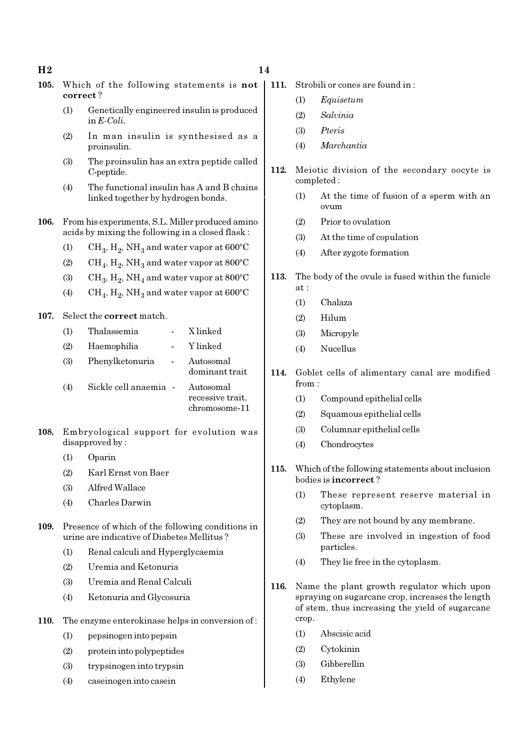### $H2$  and  $14$

- 105. Which of the following statements is not correct ?
	- (1) Genetically engineered insulin is produced in E-Coli.
	- (2) In man insulin is synthesised as a proinsulin.
	- (3) The proinsulin has an extra peptide called C-peptide.
	- (4) The functional insulin has A and B chains linked together by hydrogen bonds.
- 106. From his experiments, S.L. Miller produced amino acids by mixing the following in a closed flask :
	- (1)  $\text{CH}_3, \text{H}_2, \text{NH}_3$  and water vapor at 600°C
	- (2)  $\mathrm{CH}_4, \mathrm{H}_2, \mathrm{NH}_3$  and water vapor at 800°C
	- (3)  $\text{CH}_3, \text{H}_2, \text{NH}_4$  and water vapor at 800°C
	- (4)  $\rm CH_4, H_2, NH_3$  and water vapor at 600°C

### 107. Select the correct match.

| (1) | Thalassemia           | X linked                                       |
|-----|-----------------------|------------------------------------------------|
| (2) | Haemophilia           | Y linked                                       |
| (3) | Phenylketonuria       | Autosomal<br>dominant trait                    |
| (4) | Sickle cell anaemia - | Autosomal<br>recessive trait,<br>chromosome-11 |

- 108. Embryological support for evolution was disapproved by :
	- (1) Oparin
	- (2) Karl Ernst von Baer
	- (3) Alfred Wallace
	- (4) Charles Darwin
- 109. Presence of which of the following conditions in urine are indicative of Diabetes Mellitus ?
	- (1) Renal calculi and Hyperglycaemia
	- (2) Uremia and Ketonuria
	- (3) Uremia and Renal Calculi
	- (4) Ketonuria and Glycosuria
- 110. The enzyme enterokinase helps in conversion of :
	- (1) pepsinogen into pepsin
	- (2) protein into polypeptides
	- (3) trypsinogen into trypsin
	- (4) caseinogen into casein
- 111. Strobili or cones are found in :
	- (1) Equisetum
	- (2) Salvinia
	- (3) Pteris
	- (4) Marchantia
- 112. Meiotic division of the secondary oocyte is completed :
	- (1) At the time of fusion of a sperm with an ovum
	- (2) Prior to ovulation
	- (3) At the time of copulation
	- (4) After zygote formation
- 113. The body of the ovule is fused within the funicle at :
	- (1) Chalaza
	- (2) Hilum
	- (3) Micropyle
	- (4) Nucellus
- 114. Goblet cells of alimentary canal are modified from :
	- (1) Compound epithelial cells
	- (2) Squamous epithelial cells
	- (3) Columnar epithelial cells
	- (4) Chondrocytes
- 115. Which of the following statements about inclusion bodies is incorrect ?
	- (1) These represent reserve material in cytoplasm.
	- (2) They are not bound by any membrane.
	- (3) These are involved in ingestion of food particles.
	- (4) They lie free in the cytoplasm.
- 116. Name the plant growth regulator which upon spraying on sugarcane crop, increases the length of stem, thus increasing the yield of sugarcane crop.
	- (1) Abscisic acid
	- (2) Cytokinin
	- (3) Gibberellin
	- (4) Ethylene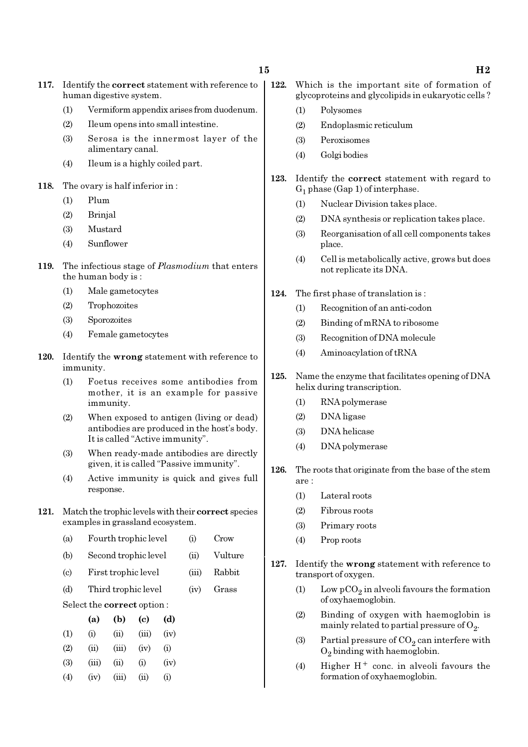- 117. Identify the correct statement with reference to human digestive system.
	- (1) Vermiform appendix arises from duodenum.
	- (2) Ileum opens into small intestine.
	- (3) Serosa is the innermost layer of the alimentary canal.
	- (4) Ileum is a highly coiled part.
- 118. The ovary is half inferior in :
	- (1) Plum
	- (2) Brinjal
	- (3) Mustard
	- (4) Sunflower
- 119. The infectious stage of *Plasmodium* that enters the human body is :
	- (1) Male gametocytes
	- (2) Trophozoites
	- (3) Sporozoites
	- (4) Female gametocytes
- 120. Identify the wrong statement with reference to immunity.
	- (1) Foetus receives some antibodies from mother, it is an example for passive immunity.
	- (2) When exposed to antigen (living or dead) antibodies are produced in the host's body. It is called "Active immunity".
	- (3) When ready-made antibodies are directly given, it is called "Passive immunity".
	- (4) Active immunity is quick and gives full response.
- 121. Match the trophic levels with their correct species examples in grassland ecosystem.
	- (a) Fourth trophic level (i) Crow
	- (b) Second trophic level (ii) Vulture
	- (c) First trophic level (iii) Rabbit
	- (d) Third trophic level (iv) Grass
	- Select the correct option :

|                   | (a)   | (b)   | (c)   | (d)       |
|-------------------|-------|-------|-------|-----------|
| (1)               | (i)   | (ii)  | (iii) | (iv)      |
| (2)               | (ii)  | (iii) | (iv)  | $\rm(i)$  |
| (3)               | (iii) | (ii)  | (i)   | (iv)      |
| $\left( 4\right)$ | (iv)  | (iii) | (ii)  | $\rm (i)$ |

- 122. Which is the important site of formation of glycoproteins and glycolipids in eukaryotic cells ?
	- (1) Polysomes
	- (2) Endoplasmic reticulum
	- (3) Peroxisomes
	- (4) Golgi bodies
- 123. Identify the correct statement with regard to  $G_1$  phase (Gap 1) of interphase.
	- (1) Nuclear Division takes place.
	- (2) DNA synthesis or replication takes place.
	- (3) Reorganisation of all cell components takes place.
	- (4) Cell is metabolically active, grows but does not replicate its DNA.
- 124. The first phase of translation is :
	- (1) Recognition of an anti-codon
	- (2) Binding of mRNA to ribosome
	- (3) Recognition of DNA molecule
	- (4) Aminoacylation of tRNA
- 125. Name the enzyme that facilitates opening of DNA helix during transcription.
	- (1) RNA polymerase
	- (2) DNA ligase
	- (3) DNA helicase
	- (4) DNA polymerase
- 126. The roots that originate from the base of the stem are :
	- (1) Lateral roots
	- (2) Fibrous roots
	- (3) Primary roots
	- (4) Prop roots
- 127. Identify the wrong statement with reference to transport of oxygen.
	- (1) Low  $pCO_2$  in alveoli favours the formation of oxyhaemoglobin.
	- (2) Binding of oxygen with haemoglobin is mainly related to partial pressure of  $\mathrm{O}_2$ .
	- (3) Partial pressure of  $\mathrm{CO}_2$  can interfere with  $O_2$  binding with haemoglobin.
	- (4) Higher  $H^+$  conc. in alveoli favours the formation of oxyhaemoglobin.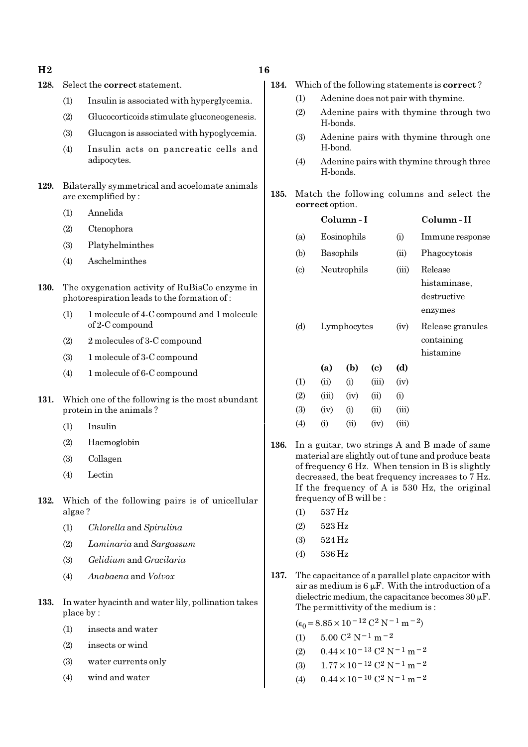$H2 \t\t 16$ 

### 128. Select the correct statement.

- (1) Insulin is associated with hyperglycemia.
- (2) Glucocorticoids stimulate gluconeogenesis.
- (3) Glucagon is associated with hypoglycemia.
- (4) Insulin acts on pancreatic cells and adipocytes.
- 129. Bilaterally symmetrical and acoelomate animals are exemplified by :
	- (1) Annelida
	- (2) Ctenophora
	- (3) Platyhelminthes
	- (4) Aschelminthes
- 130. The oxygenation activity of RuBisCo enzyme in photorespiration leads to the formation of :
	- (1) 1 molecule of 4-C compound and 1 molecule of 2-C compound
	- (2) 2 molecules of 3-C compound
	- (3) 1 molecule of 3-C compound
	- (4) 1 molecule of 6-C compound
- 131. Which one of the following is the most abundant protein in the animals ?
	- (1) Insulin
	- (2) Haemoglobin
	- (3) Collagen
	- (4) Lectin
- 132. Which of the following pairs is of unicellular algae ?
	- (1) Chlorella and Spirulina
	- (2) Laminaria and Sargassum
	- (3) Gelidium and Gracilaria
	- (4) Anabaena and Volvox
- 133. In water hyacinth and water lily, pollination takes place by :
	- (1) insects and water
	- (2) insects or wind
	- (3) water currents only
	- (4) wind and water
- 134. Which of the following statements is correct ?
	- (1) Adenine does not pair with thymine.
	- (2) Adenine pairs with thymine through two H-bonds.
	- (3) Adenine pairs with thymine through one H-bond.
	- (4) Adenine pairs with thymine through three H-bonds.
- 135. Match the following columns and select the correct option.

|                            | Column-I    |            |       |       | Column - II                                 |
|----------------------------|-------------|------------|-------|-------|---------------------------------------------|
| (a)                        | Eosinophils |            |       | (i)   | Immune response                             |
| (b)                        | Basophils   |            |       | (ii)  | Phagocytosis                                |
| $\left( \mathrm{c}\right)$ | Neutrophils |            |       | (iii) | Release<br>histaminase.                     |
|                            |             |            |       |       | destructive<br>enzymes                      |
| (d)                        | Lymphocytes |            |       | (iv)  | Release granules<br>containing<br>histamine |
|                            | (a)         | (b)        | (c)   | (d)   |                                             |
| (1)                        | (ii)        | (i)        | (iii) | (iv)  |                                             |
| (2)                        | (iii)       | (iv)       | (ii)  | (i)   |                                             |
| (3)                        | (iv)        | (i)        | (ii)  | (iii) |                                             |
| $\left( 4\right)$          | $\rm (i)$   | $\rm (ii)$ | (iv)  | (iii) |                                             |

- 136. In a guitar, two strings A and B made of same material are slightly out of tune and produce beats of frequency 6 Hz. When tension in B is slightly decreased, the beat frequency increases to 7 Hz. If the frequency of A is 530 Hz, the original frequency of B will be :
	- (1) 537 Hz
	- (2) 523 Hz
	- (3) 524 Hz
	- (4) 536 Hz
- 137. The capacitance of a parallel plate capacitor with air as medium is  $6 \mu$ F. With the introduction of a dielectric medium, the capacitance becomes  $30 \mu$ F. The permittivity of the medium is :

 $(\epsilon_0 = 8.85 \times 10^{-12} \text{ C}^2 \text{ N}^{-1} \text{ m}^{-2})$ 

- (1)  $5.00 \text{ C}^2 \text{ N}^{-1} \text{ m}^{-2}$
- (2)  $0.44 \times 10^{-13}$  C<sup>2</sup> N<sup>-1</sup> m<sup>-2</sup>
- (3)  $1.77 \times 10^{-12}$  C<sup>2</sup> N<sup>-1</sup> m<sup>-2</sup>
- (4)  $0.44 \times 10^{-10}$  C<sup>2</sup> N<sup>-1</sup> m<sup>-2</sup>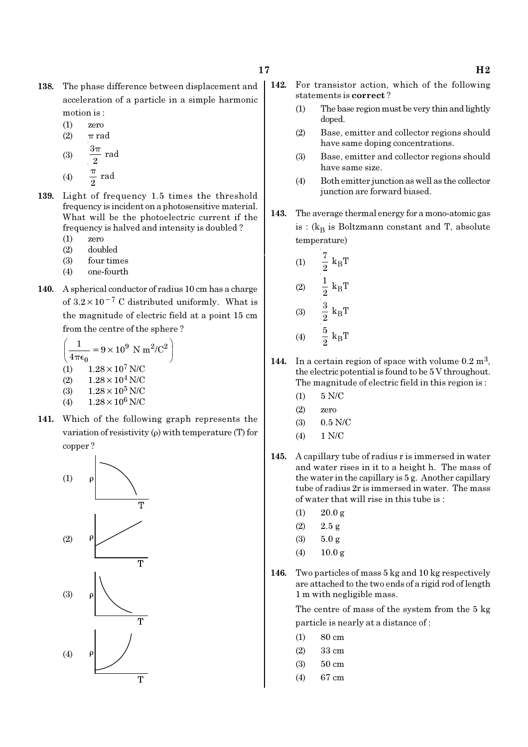- 138. The phase difference between displacement and acceleration of a particle in a simple harmonic motion is :
	- (1) zero
	- (2)  $\pi$  rad π
	- (3)  $\frac{3\pi}{2}$  rad (4)  $\frac{\pi}{2}$  rad π
- 139. Light of frequency 1.5 times the threshold frequency is incident on a photosensitive material. What will be the photoelectric current if the frequency is halved and intensity is doubled ?
	- (1) zero
	- (2) doubled
	- (3) four times
	- (4) one-fourth
- 140. A spherical conductor of radius 10 cm has a charge of  $3.2 \times 10^{-7}$  C distributed uniformly. What is the magnitude of electric field at a point 15 cm from the centre of the sphere ?

$$
\left(\frac{1}{4\pi\epsilon_0} = 9 \times 10^9 \text{ N m}^2/\text{C}^2\right)
$$
  
(1) 1.28 × 10<sup>7</sup> N/C  
(2) 1.28 × 10<sup>4</sup> N/C  
(3) 1.28 × 10<sup>5</sup> N/C

- (4)  $1.28 \times 10^6$  N/C
- 141. Which of the following graph represents the variation of resistivity (ρ) with temperature (T) for copper ?



- 142. For transistor action, which of the following statements is correct ?
	- (1) The base region must be very thin and lightly doped.
	- (2) Base, emitter and collector regions should have same doping concentrations.
	- (3) Base, emitter and collector regions should have same size.
	- (4) Both emitter junction as well as the collector junction are forward biased.
- 143. The average thermal energy for a mono-atomic gas is : ( $\rm{k_{B}}$  is Boltzmann constant and T, absolute temperature)

(1) 
$$
\frac{7}{2} k_{B}T
$$
  
\n(2)  $\frac{1}{2} k_{B}T$   
\n(3)  $\frac{3}{2} k_{B}T$   
\n(4)  $\frac{5}{2} k_{B}T$ 

- 144. In a certain region of space with volume  $0.2 \text{ m}^3$ , the electric potential is found to be 5 V throughout. The magnitude of electric field in this region is :
	- (1) 5 N/C
	- (2) zero
	- (3) 0.5 N/C
	- (4) 1 N/C
- 145. A capillary tube of radius r is immersed in water and water rises in it to a height h. The mass of the water in the capillary is 5 g. Another capillary tube of radius 2r is immersed in water. The mass of water that will rise in this tube is :
	- $(1)$  20.0 g
	- (2) 2.5 g
	- (3) 5.0 g
	- (4)  $10.0 \text{ g}$
- 146. Two particles of mass 5 kg and 10 kg respectively are attached to the two ends of a rigid rod of length 1 m with negligible mass.

The centre of mass of the system from the 5 kg particle is nearly at a distance of :

- $(1)$  80 cm
- (2) 33 cm
- (3) 50 cm
- (4) 67 cm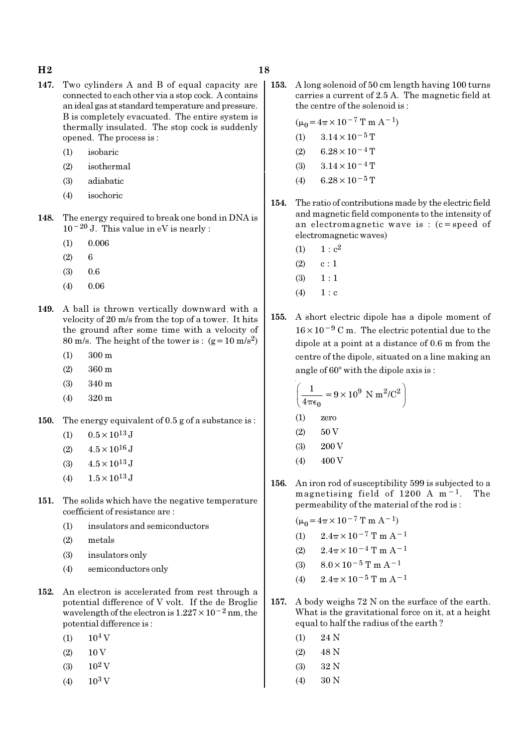### $H2$  and  $18$

- 147. Two cylinders A and B of equal capacity are connected to each other via a stop cock. A contains an ideal gas at standard temperature and pressure. B is completely evacuated. The entire system is thermally insulated. The stop cock is suddenly opened. The process is :
	- (1) isobaric
	- (2) isothermal
	- (3) adiabatic
	- (4) isochoric
- 148. The energy required to break one bond in DNA is  $10^{-20}$  J. This value in eV is nearly :
	- $(1)$  0.006
	- $(2) 6$
	- $(3)$  0.6
	- (4) 0.06
- 149. A ball is thrown vertically downward with a velocity of 20 m/s from the top of a tower. It hits the ground after some time with a velocity of 80 m/s. The height of the tower is :  $(g=10 \text{ m/s}^2)$ 
	- (1) 300 m
	- (2) 360 m
	- (3) 340 m
	- (4) 320 m
- 150. The energy equivalent of 0.5 g of a substance is :
	- (1)  $0.5 \times 10^{13}$  J
	- (2)  $4.5 \times 10^{16}$  J
	- (3)  $4.5 \times 10^{13}$  J
	- (4)  $1.5 \times 10^{13}$  J
- 151. The solids which have the negative temperature coefficient of resistance are :
	- (1) insulators and semiconductors
	- (2) metals
	- (3) insulators only
	- (4) semiconductors only
- 152. An electron is accelerated from rest through a potential difference of V volt. If the de Broglie wavelength of the electron is  $1.227 \times 10^{-2}$  nm, the potential difference is :
	- $(1)$  10<sup>4</sup> V
	- $(2) 10 V$
	- $(3)$  10<sup>2</sup> V
	- (4)  $10^3$  V
- 153. A long solenoid of 50 cm length having 100 turns carries a current of 2.5 A. The magnetic field at the centre of the solenoid is :
	- $(\mu_0 = 4\pi \times 10^{-7} \text{ T m A}^{-1})$ (1)  $3.14 \times 10^{-5}$  T  $(2)$  6.28 × 10<sup>-4</sup> T (3)  $3.14 \times 10^{-4}$  T (4) 6.28  $\times$  10<sup>-5</sup> T
- 154. The ratio of contributions made by the electric field and magnetic field components to the intensity of an electromagnetic wave is : (c=speed of electromagnetic waves)
	- (1)  $1 : c^2$
	- $(2)$  c : 1
	- $(3) \quad 1 : 1$
	- $(4) 1 : c$
- 155. A short electric dipole has a dipole moment of 16×10−<sup>9</sup> C m. The electric potential due to the dipole at a point at a distance of 0.6 m from the centre of the dipole, situated on a line making an angle of  $60^\circ$  with the dipole axis is :

$$
\left(\frac{1}{4\pi\epsilon_0} = 9 \times 10^9 \text{ N m}^2/\text{C}^2\right)
$$

- (1) zero
- $(2) 50 V$
- (3) 200 V
- $(4)$  400 V
- 156. An iron rod of susceptibility 599 is subjected to a magnetising field of 1200 A m−1. The permeability of the material of the rod is :

 $(\mu_0 = 4\pi \times 10^{-7} \text{ T m A}^{-1})$ 

- (1)  $2.4\pi \times 10^{-7}$  T m A<sup>-1</sup>
- (2)  $2.4\pi \times 10^{-4}$  T m A<sup>-1</sup>
- (3)  $8.0 \times 10^{-5}$  T m A<sup>-1</sup>
- (4)  $2.4\pi \times 10^{-5}$  T m A<sup>-1</sup>
- 157. A body weighs 72 N on the surface of the earth. What is the gravitational force on it, at a height equal to half the radius of the earth ?
	- $(1)$  24 N
	- (2) 48 N
	- (3) 32 N
	- (4) 30 N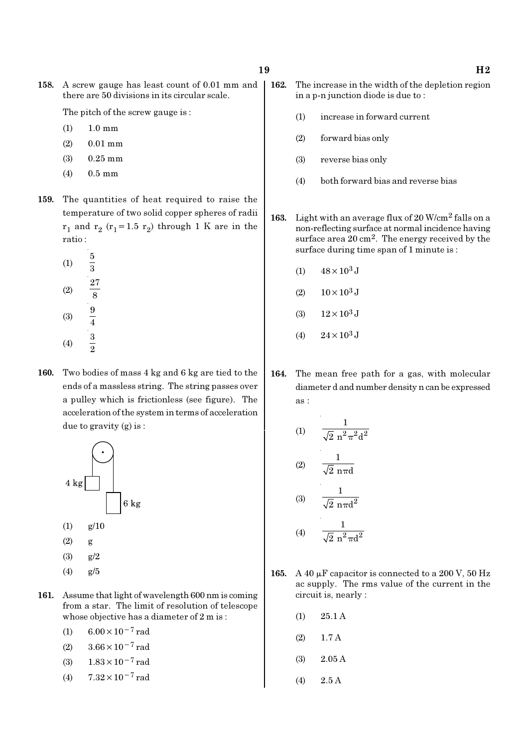158. A screw gauge has least count of 0.01 mm and there are 50 divisions in its circular scale.

The pitch of the screw gauge is :

- (1) 1.0 mm
- (2) 0.01 mm
- (3) 0.25 mm
- (4) 0.5 mm
- 159. The quantities of heat required to raise the temperature of two solid copper spheres of radii  $r_1$  and  $r_2$  ( $r_1$ =1.5  $r_2$ ) through 1 K are in the ratio :
	- (1) 5 3 (2) 27 8 (3)  $\frac{9}{4}$ (4)  $\frac{3}{2}$
- 160. Two bodies of mass 4 kg and 6 kg are tied to the ends of a massless string. The string passes over a pulley which is frictionless (see figure). The acceleration of the system in terms of acceleration due to gravity (g) is :



- 161. Assume that light of wavelength 600 nm is coming from a star. The limit of resolution of telescope whose objective has a diameter of 2 m is :
	- (1)  $6.00 \times 10^{-7}$  rad
	- (2)  $3.66 \times 10^{-7}$  rad
	- (3) 1.83×10−7 rad
	- (4)  $7.32 \times 10^{-7}$  rad
- 162. The increase in the width of the depletion region in a p-n junction diode is due to :
	- (1) increase in forward current
	- (2) forward bias only
	- (3) reverse bias only
	- (4) both forward bias and reverse bias
- 163. Light with an average flux of 20 W/cm2 falls on a non-reflecting surface at normal incidence having surface area 20 cm<sup>2</sup>. The energy received by the surface during time span of 1 minute is :
	- (1)  $48 \times 10^3$  J
	- (2)  $10 \times 10^3$  J
	- (3)  $12 \times 10^3$  J
	- (4)  $24 \times 10^3$  J
- 164. The mean free path for a gas, with molecular diameter d and number density n can be expressed as :

(1) 
$$
\frac{1}{\sqrt{2} n^2 \pi^2 d^2}
$$
  
(2) 
$$
\frac{1}{\sqrt{2} n \pi d}
$$
  
(3) 
$$
\frac{1}{\sqrt{2} n \pi d^2}
$$
  
(4) 
$$
\frac{1}{\sqrt{2} n^2 \pi d^2}
$$

- 165. A 40  $\mu$ F capacitor is connected to a 200 V, 50 Hz ac supply. The rms value of the current in the circuit is, nearly :
	- (1) 25.1 A
	- (2) 1.7 A
	- (3) 2.05 A
	- (4) 2.5 A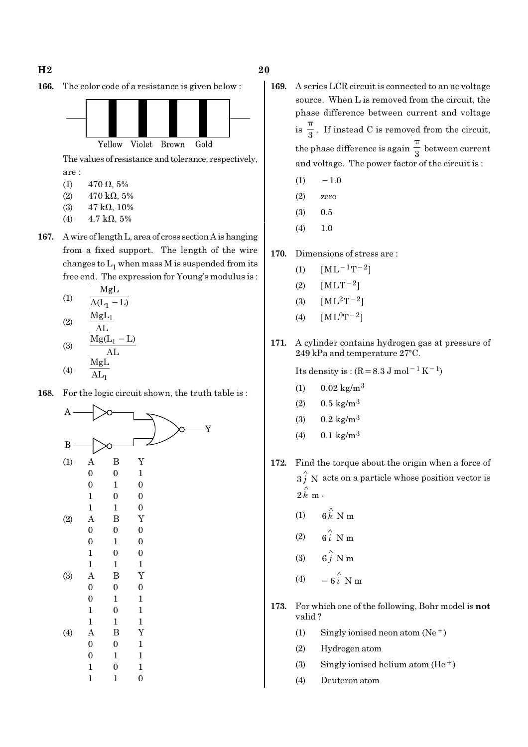166. The color code of a resistance is given below :



The values of resistance and tolerance, respectively, are :

- (1) 470  $\Omega$ , 5%
- (2)  $470 \text{ k}\Omega, 5\%$
- (3)  $47 \text{ k}\Omega$ , 10%
- (4)  $4.7 \text{ k}\Omega, 5\%$
- 167. A wire of length L, area of cross section A is hanging from a fixed support. The length of the wire changes to  $\mathrm{L}_1$  when mass M is suspended from its free end. The expression for Young's modulus is :

(1)  
\n
$$
\frac{MgL}{A(L_{1} - L)}
$$
\n(2)  
\n
$$
\frac{MgL_{1}}{AL}
$$
\n(3)  
\n
$$
\frac{Mg(L_{1} - L)}{AL}
$$
\n(4)  
\n
$$
\frac{MgL}{AL_{1}}
$$

168. For the logic circuit shown, the truth table is :



- 169. A series LCR circuit is connected to an ac voltage source. When L is removed from the circuit, the phase difference between current and voltage  $is \frac{1}{3}$ π . If instead C is removed from the circuit, the phase difference is again  $\frac{1}{3}$ π between current and voltage. The power factor of the circuit is :
	- $(1)$  −1.0
	- (2) zero
	- (3) 0.5
	- (4) 1.0
- 170. Dimensions of stress are :
	- (1)  $[ML^{-1}T^{-2}]$
	- (2) [MLT−2]
	- (3)  $[ML^2T^{-2}]$
	- (4)  $[ML^0T^{-2}]$
- 171. A cylinder contains hydrogen gas at pressure of  $249$  kPa and temperature  $27^{\circ}$ C.

Its density is :  $(R=8.3 \text{ J mol}^{-1} \text{ K}^{-1})$ 

- $(1)$  0.02 kg/m<sup>3</sup>
- (2)  $0.5 \text{ kg/m}^3$
- (3)  $0.2 \text{ kg/m}^3$
- (4)  $0.1 \text{ kg/m}^3$
- 172. Find the torque about the origin when a force of  $3 \hat{j}$  N acts on a particle whose position vector is  $2 \hat{k}$  m  $\cdot$ 
	- (1)  $6 \stackrel{\wedge}{k}$  N m
	- (2)  $6i \stackrel{\wedge}{\smash{\wedge}} Nm$
	- (3)  $6\hat{j}$  N m
	- (4)  $-6\hat{i}$  N m
- 173. For which one of the following, Bohr model is not valid ?
	- (1) Singly ionised neon atom  $(Ne<sup>+</sup>)$
	- (2) Hydrogen atom
	- (3) Singly ionised helium atom  $(He<sup>+</sup>)$
	- (4) Deuteron atom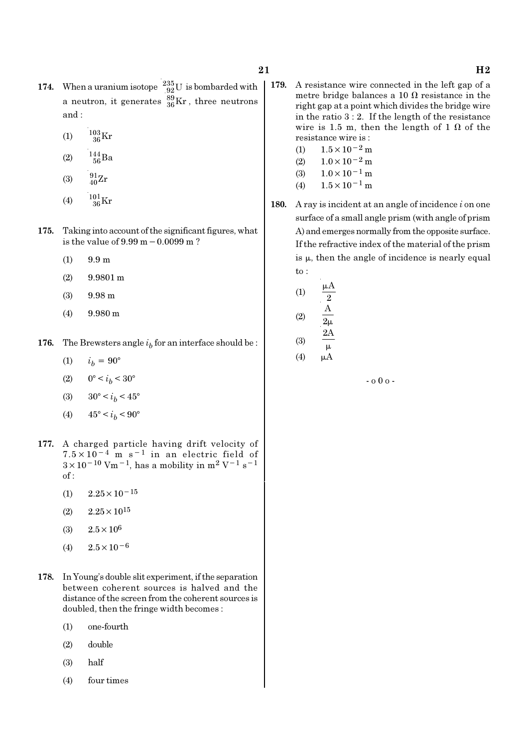- 174. When a uranium isotope  $^{235}_{92}$ U is bombarded with a neutron, it generates  $^{89}_{36}\text{Kr}$  , three neutrons and :
	- (1)  $\frac{103}{36}$ Kr
	- (2)  $\frac{144}{56}Ba$
	- (3)  $\frac{91}{40}Zr$
	- (4)  $\frac{101}{36}$ Kr
- 175. Taking into account of the significant figures, what is the value of 9.99 m−0.0099 m ?
	- (1) 9.9 m
	- (2) 9.9801 m
	- (3) 9.98 m
	- (4) 9.980 m
- **176.** The Brewsters angle  $i<sub>b</sub>$  for an interface should be :
	- (1)  $i_h = 90^\circ$
	- (2)  $0^{\circ} < i_b < 30^{\circ}$
	- (3)  $30^{\circ} < i_b < 45^{\circ}$
	- (4)  $45^{\circ} < i_b < 90^{\circ}$
- 177. A charged particle having drift velocity of  $7.5 \times 10^{-4}$  m s<sup>-1</sup> in an electric field of  $3 \times 10^{-10}$  Vm<sup>-1</sup>, has a mobility in m<sup>2</sup> V<sup>-1</sup> s<sup>-1</sup> of :
	- $(1)$  2.25 × 10<sup>-15</sup>
	- $(2)$  2.25  $\times$  10<sup>15</sup>
	- (3)  $2.5 \times 10^6$
	- $(4)$  2.5×10<sup>-6</sup>
- 178. In Young's double slit experiment, if the separation between coherent sources is halved and the distance of the screen from the coherent sources is doubled, then the fringe width becomes :
	- (1) one-fourth
	- (2) double
	- (3) half
	- (4) four times
- 179. A resistance wire connected in the left gap of a metre bridge balances a 10  $\Omega$  resistance in the right gap at a point which divides the bridge wire in the ratio  $3:2$ . If the length of the resistance wire is 1.5 m, then the length of 1  $\Omega$  of the resistance wire is :
	- (1)  $1.5 \times 10^{-2}$  m
	- (2)  $1.0 \times 10^{-2}$  m
	- (3)  $1.0 \times 10^{-1}$  m
	- (4)  $1.5 \times 10^{-1}$  m
- 180. A ray is incident at an angle of incidence  $i$  on one surface of a small angle prism (with angle of prism A) and emerges normally from the opposite surface. If the refractive index of the material of the prism is  $\mu$ , then the angle of incidence is nearly equal to :

(1) 
$$
\frac{\mu A}{2}
$$
  
\n(2)  $\frac{A}{2\mu}$   
\n(3)  $\frac{2A}{\mu}$   
\n(4)  $\mu A$ 

- o 0 o -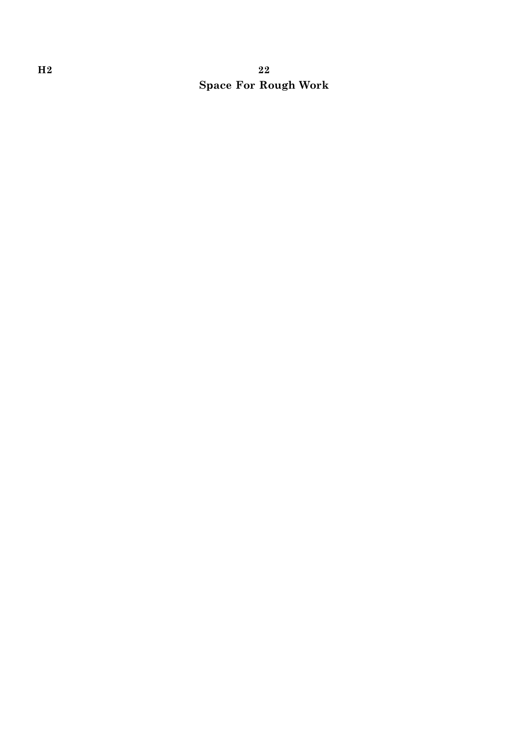# H<sub>2</sub>  $22$ Space For Rough Work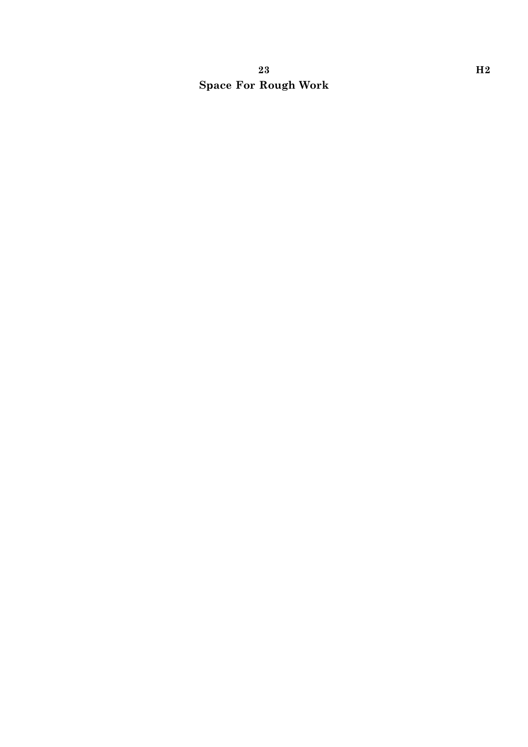# 23 H2 Space For Rough Work